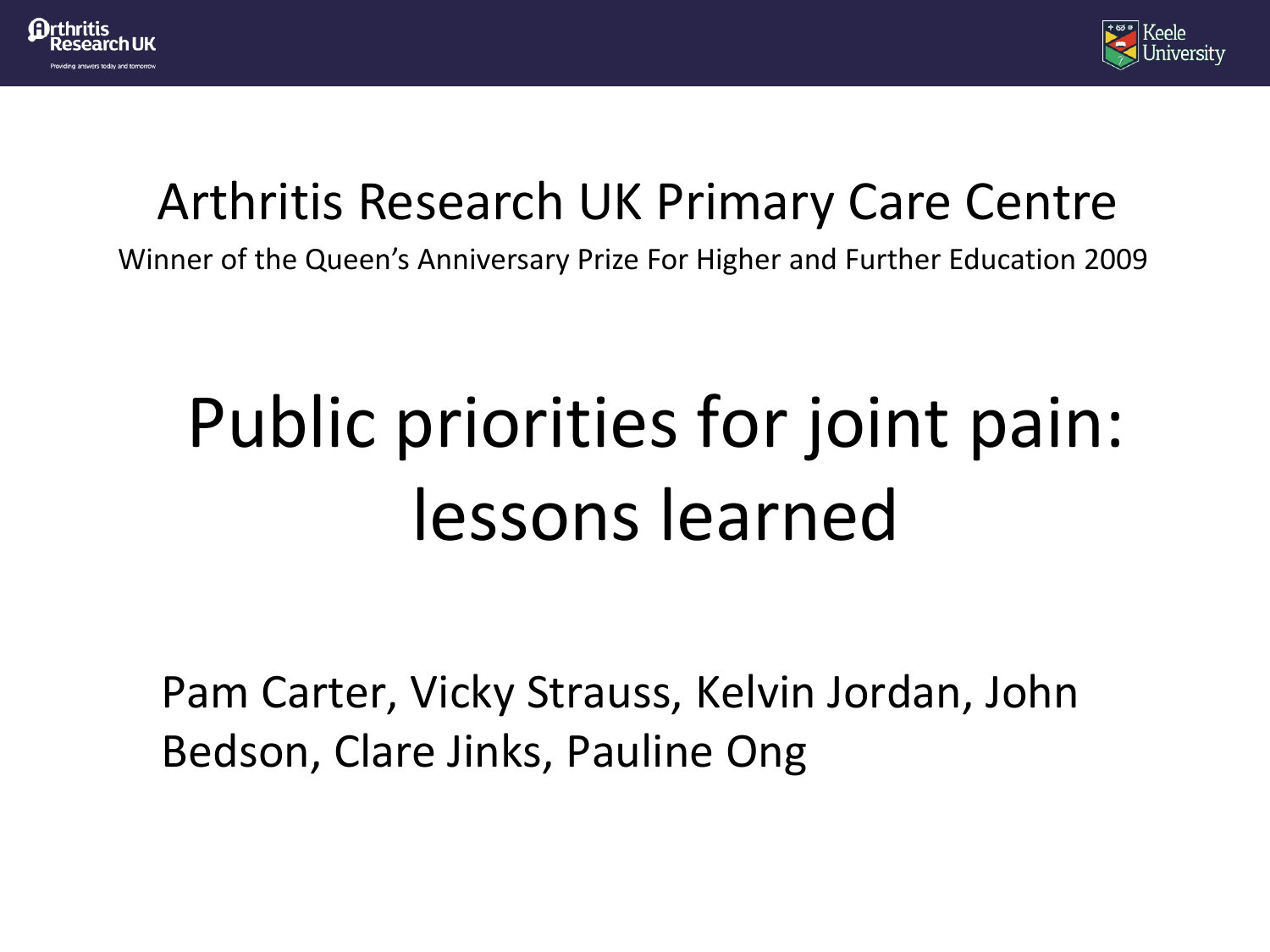



#### Arthritis Research UK Primary Care Centre

Winner of the Queen's Anniversary Prize For Higher and Further Education 2009

# Public priorities for joint pain: lessons learned

Pam Carter, Vicky Strauss, Kelvin Jordan, John Bedson, Clare Jinks, Pauline Ong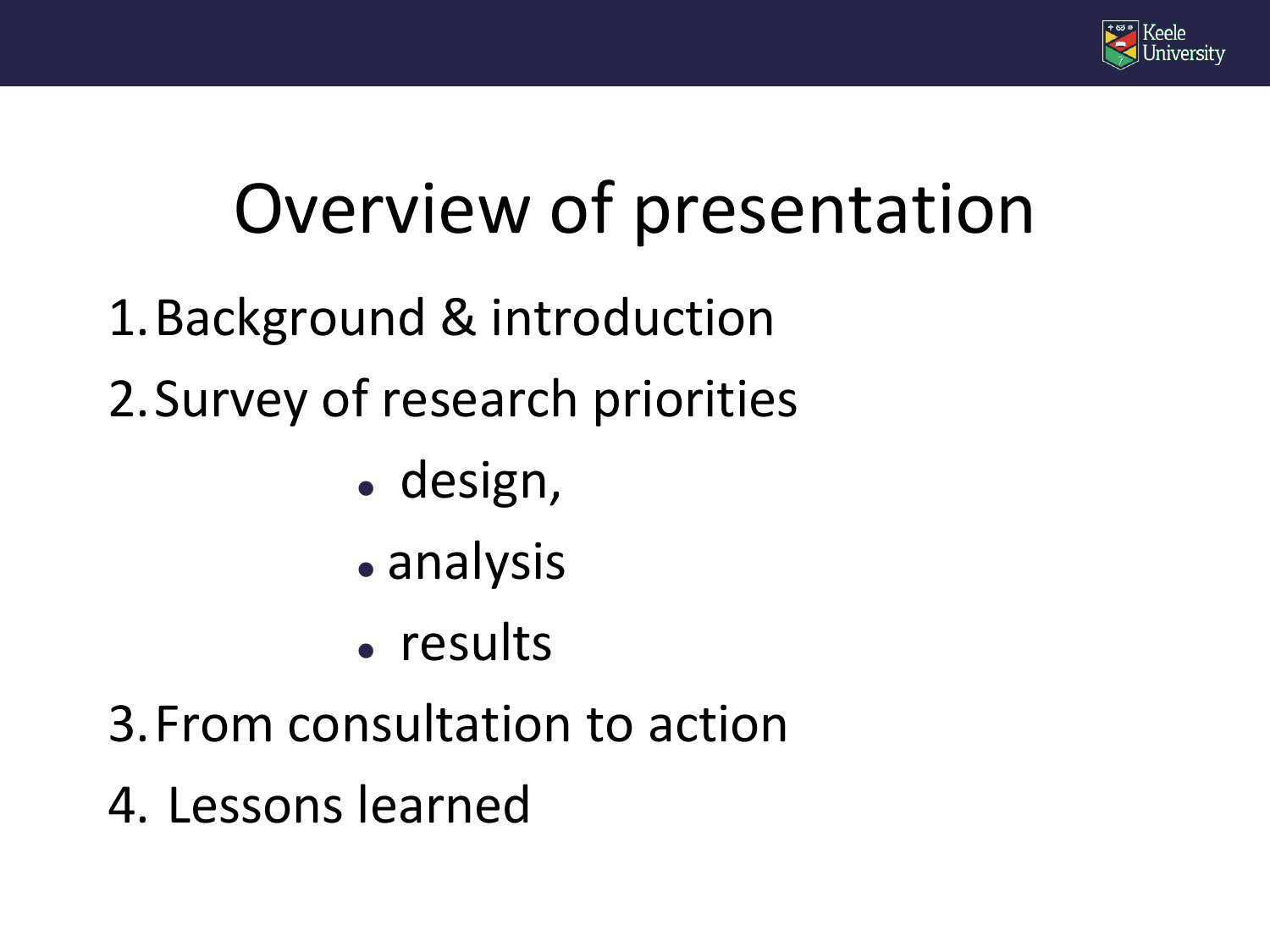

# Overview of presentation

- 1.Background & introduction
- 2.Survey of research priorities
	- design,
	- analysis
	- results
- 3.From consultation to action
- 4. Lessons learned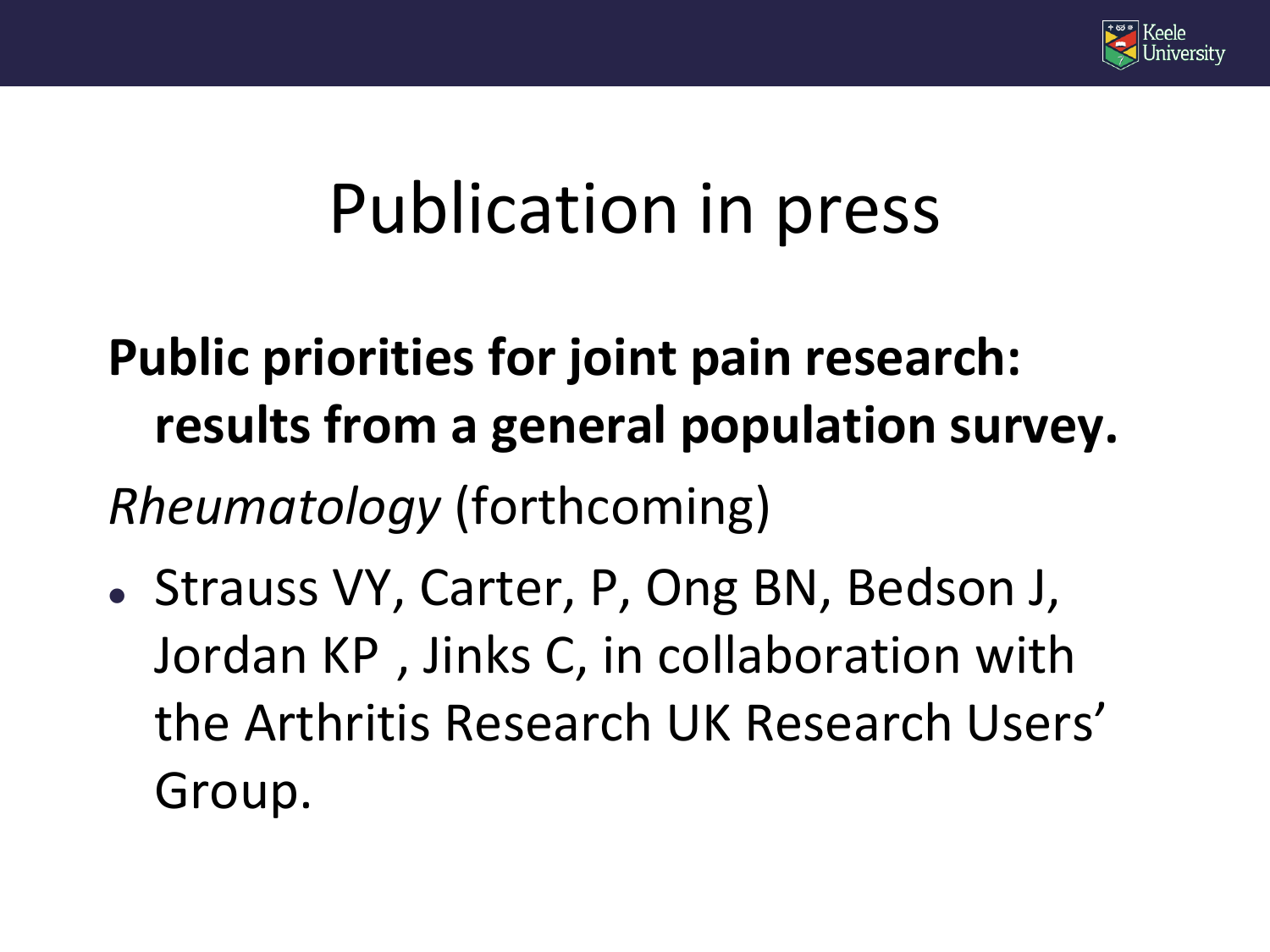

#### Publication in press

# **Public priorities for joint pain research: results from a general population survey.**

*Rheumatology* (forthcoming)

• Strauss VY, Carter, P, Ong BN, Bedson J, Jordan KP , Jinks C, in collaboration with the Arthritis Research UK Research Users' Group.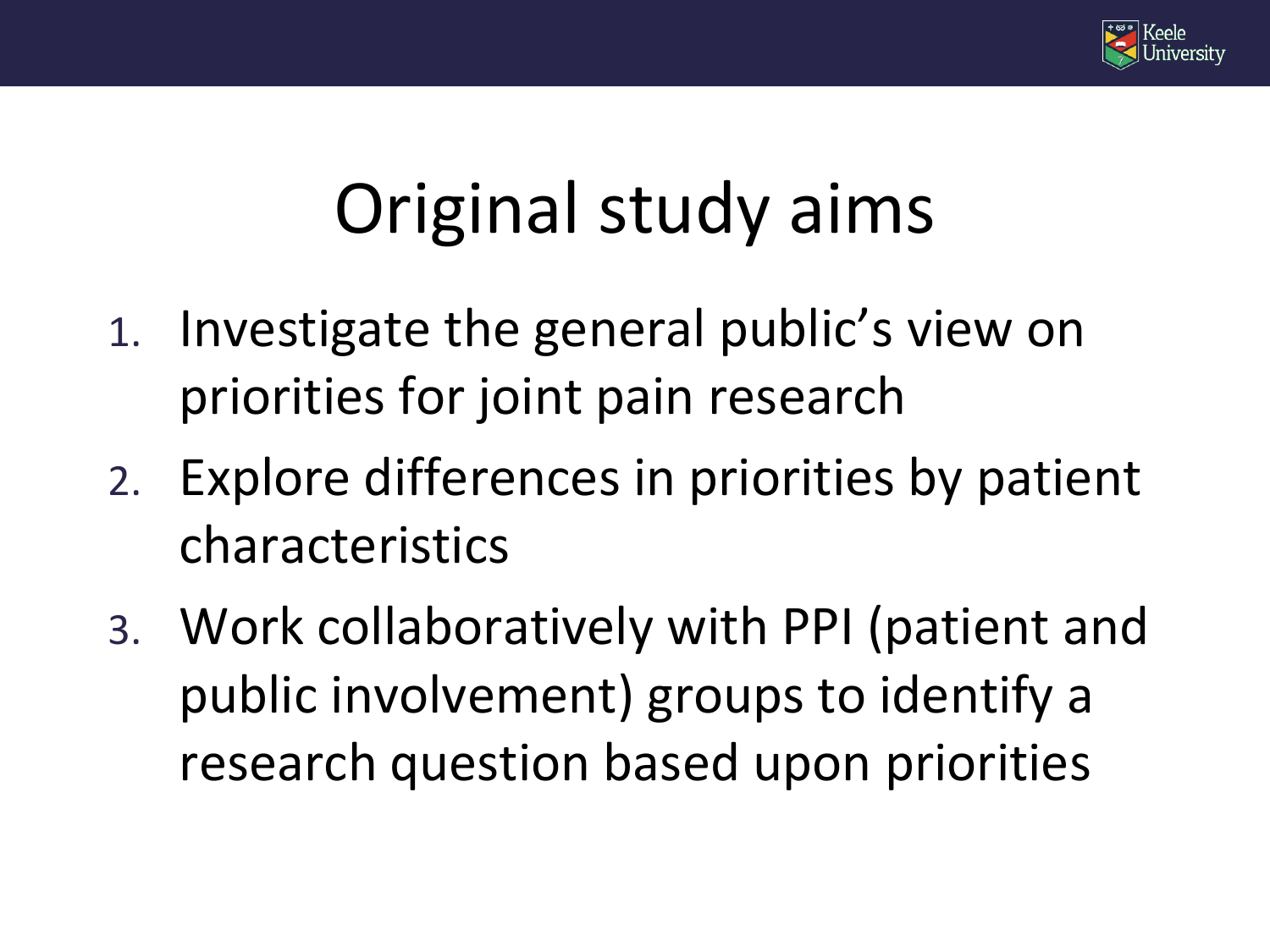

### Original study aims

- 1. Investigate the general public's view on priorities for joint pain research
- 2. Explore differences in priorities by patient characteristics
- 3. Work collaboratively with PPI (patient and public involvement) groups to identify a research question based upon priorities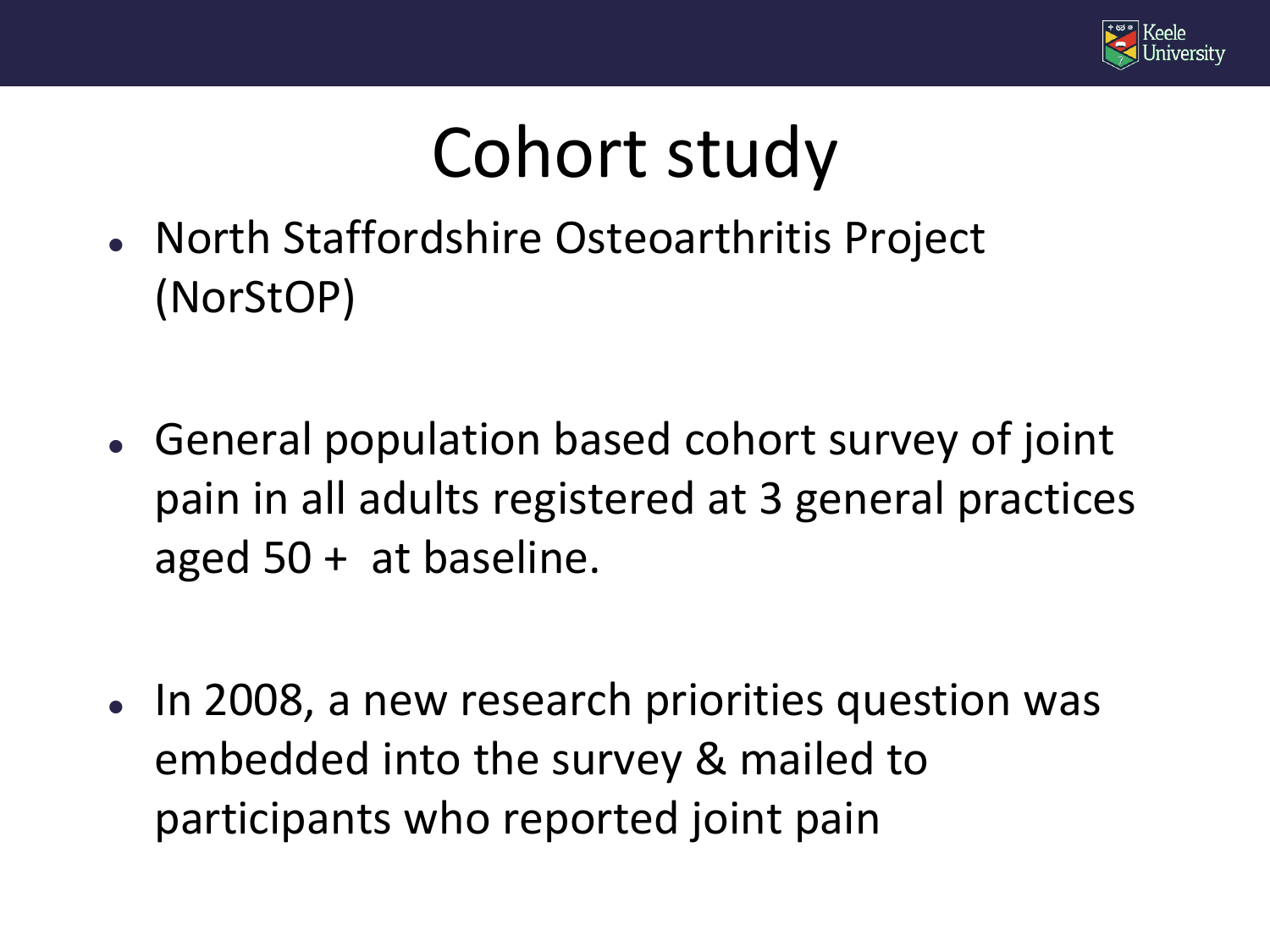

#### Cohort study

- North Staffordshire Osteoarthritis Project (NorStOP)
- General population based cohort survey of joint pain in all adults registered at 3 general practices aged 50 + at baseline.
- In 2008, a new research priorities question was embedded into the survey & mailed to participants who reported joint pain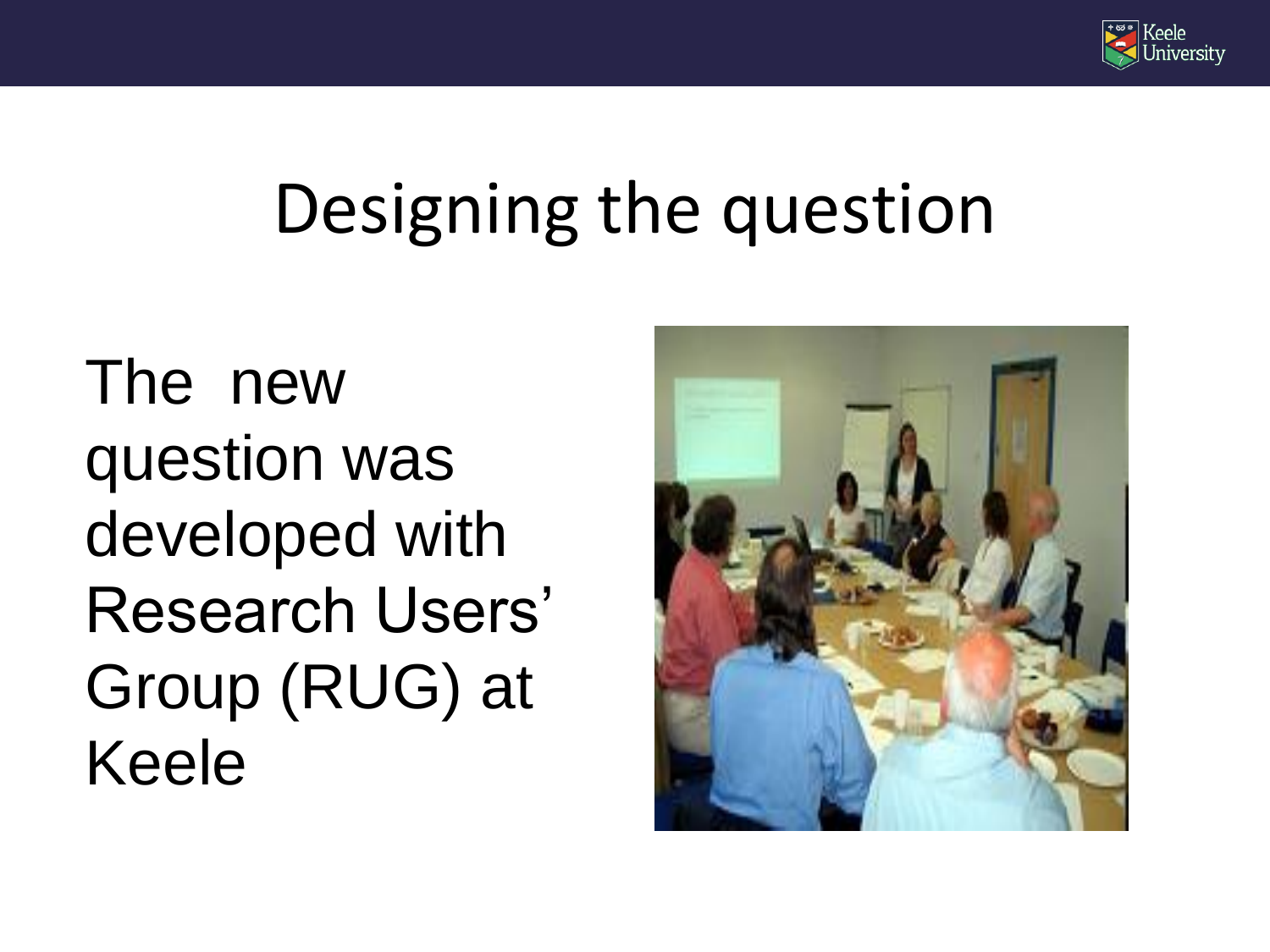

#### Designing the question

The new question was developed with Research Users' Group (RUG) at Keele

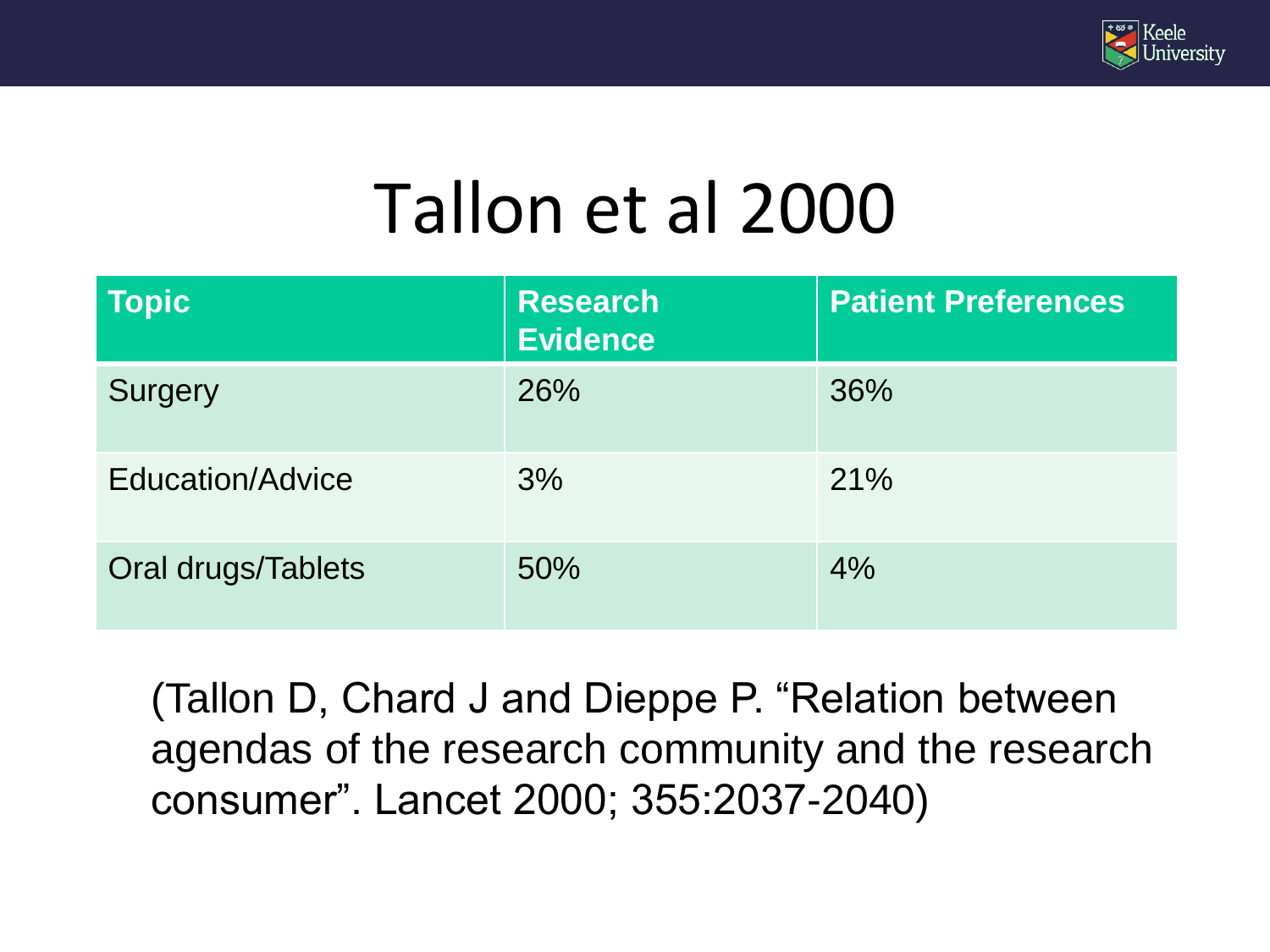

#### Tallon et al 2000

| <b>Topic</b>       | <b>Research</b><br><b>Evidence</b> | <b>Patient Preferences</b> |
|--------------------|------------------------------------|----------------------------|
| <b>Surgery</b>     | 26%                                | 36%                        |
| Education/Advice   | 3%                                 | 21%                        |
| Oral drugs/Tablets | 50%                                | 4%                         |

(Tallon D, Chard J and Dieppe P. "Relation between agendas of the research community and the research consumer". Lancet 2000; 355:2037-2040)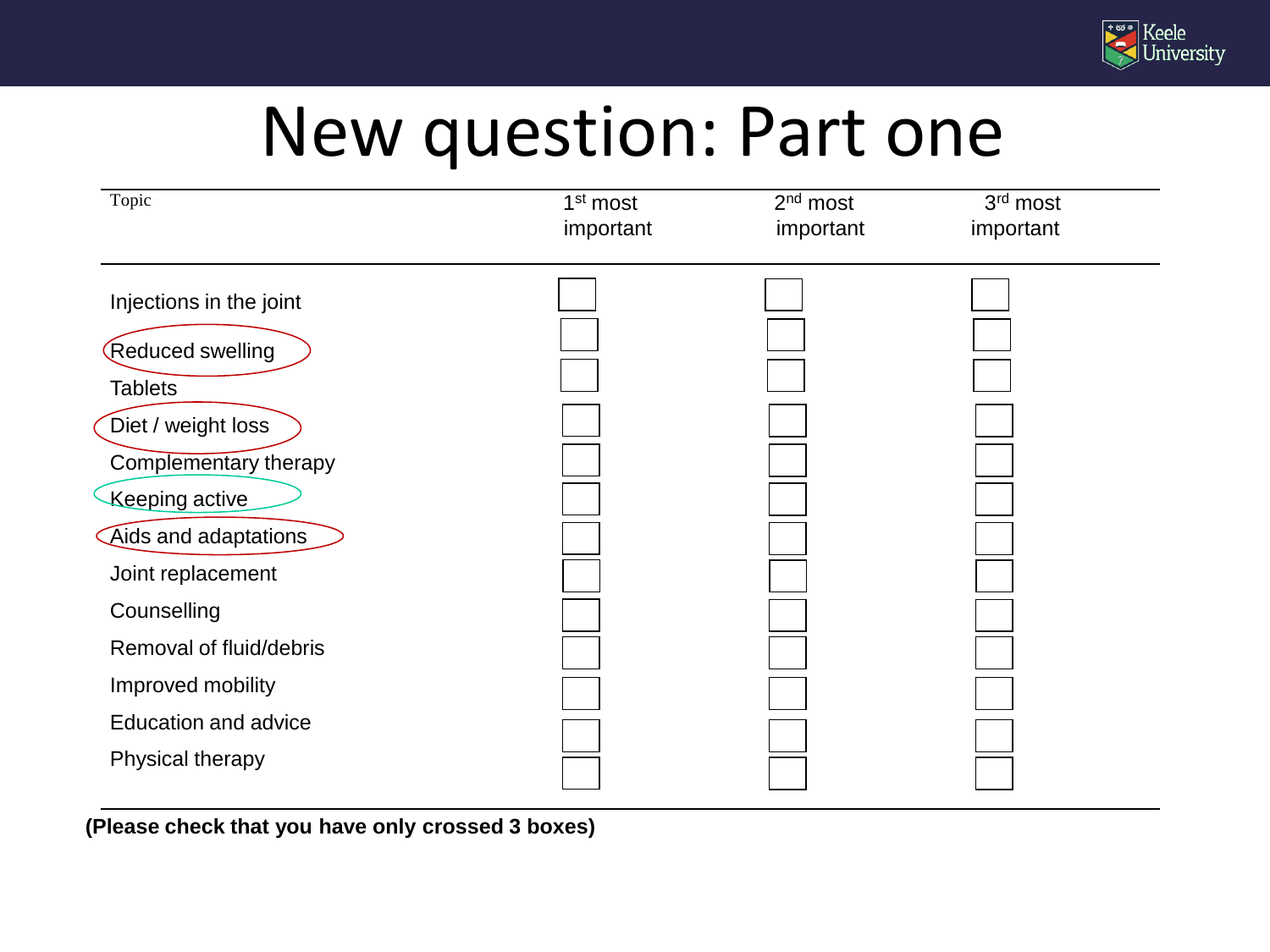

#### New question: Part one

| Topic                       | 1 <sup>st</sup> most<br>important | $2nd$ most<br>important | 3rd most<br>important |
|-----------------------------|-----------------------------------|-------------------------|-----------------------|
| Injections in the joint     |                                   |                         |                       |
| Reduced swelling            |                                   |                         |                       |
| <b>Tablets</b>              |                                   |                         |                       |
| Diet / weight loss          |                                   |                         |                       |
| Complementary therapy       |                                   |                         |                       |
| Keeping active              |                                   |                         |                       |
| Aids and adaptations        |                                   |                         |                       |
| Joint replacement           |                                   |                         |                       |
| Counselling                 |                                   |                         |                       |
| Removal of fluid/debris     |                                   |                         |                       |
| Improved mobility           |                                   |                         |                       |
| <b>Education and advice</b> |                                   |                         |                       |
| Physical therapy            |                                   |                         |                       |

**(Please check that you have only crossed 3 boxes)**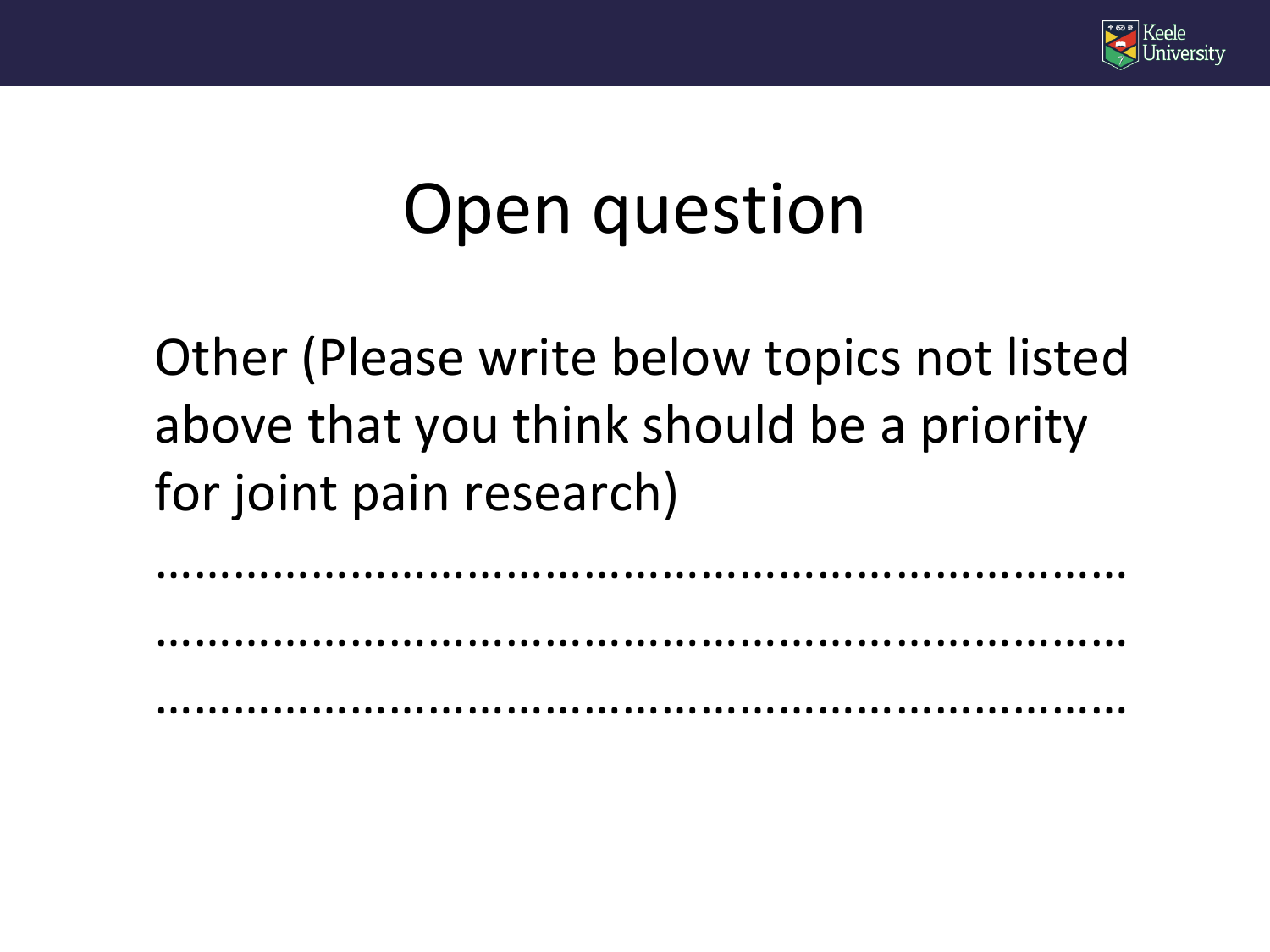

#### Open question

Other (Please write below topics not listed above that you think should be a priority for joint pain research)

…………………………………………………………………

…………………………………………………………………

…………………………………………………………………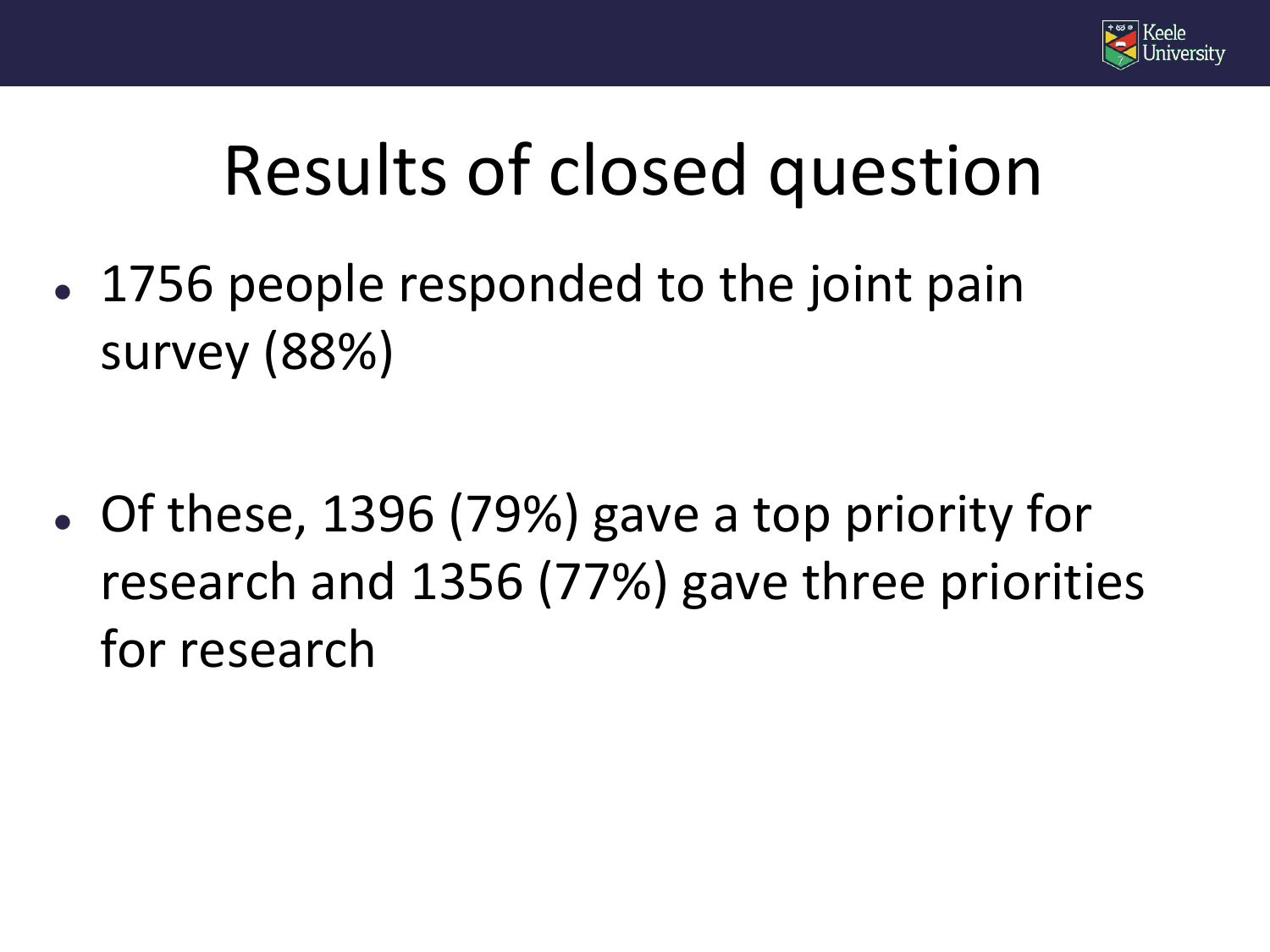

#### Results of closed question

• 1756 people responded to the joint pain survey (88%)

 Of these, 1396 (79%) gave a top priority for research and 1356 (77%) gave three priorities for research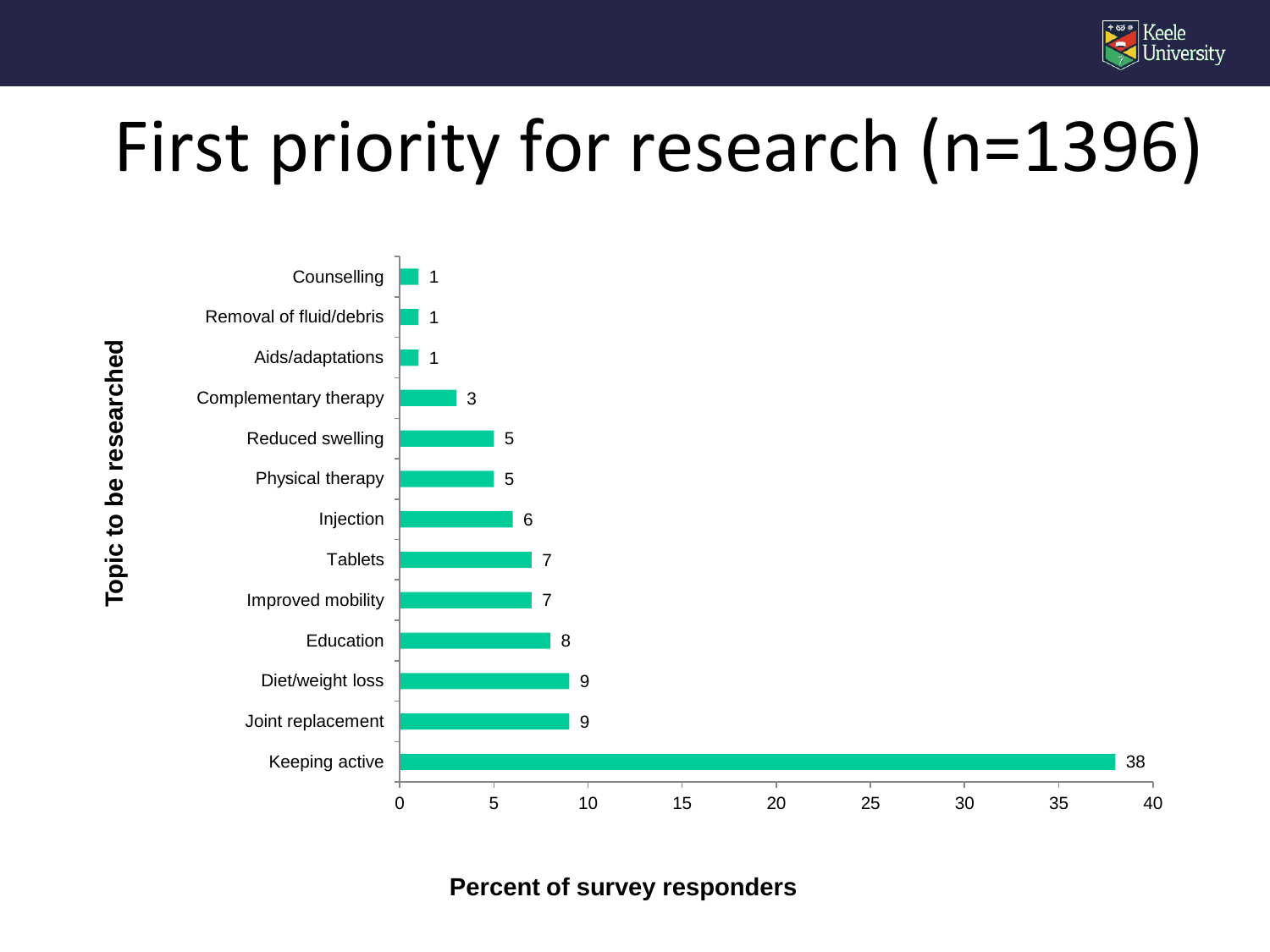

### First priority for research (n=1396)



**Percent of survey responders**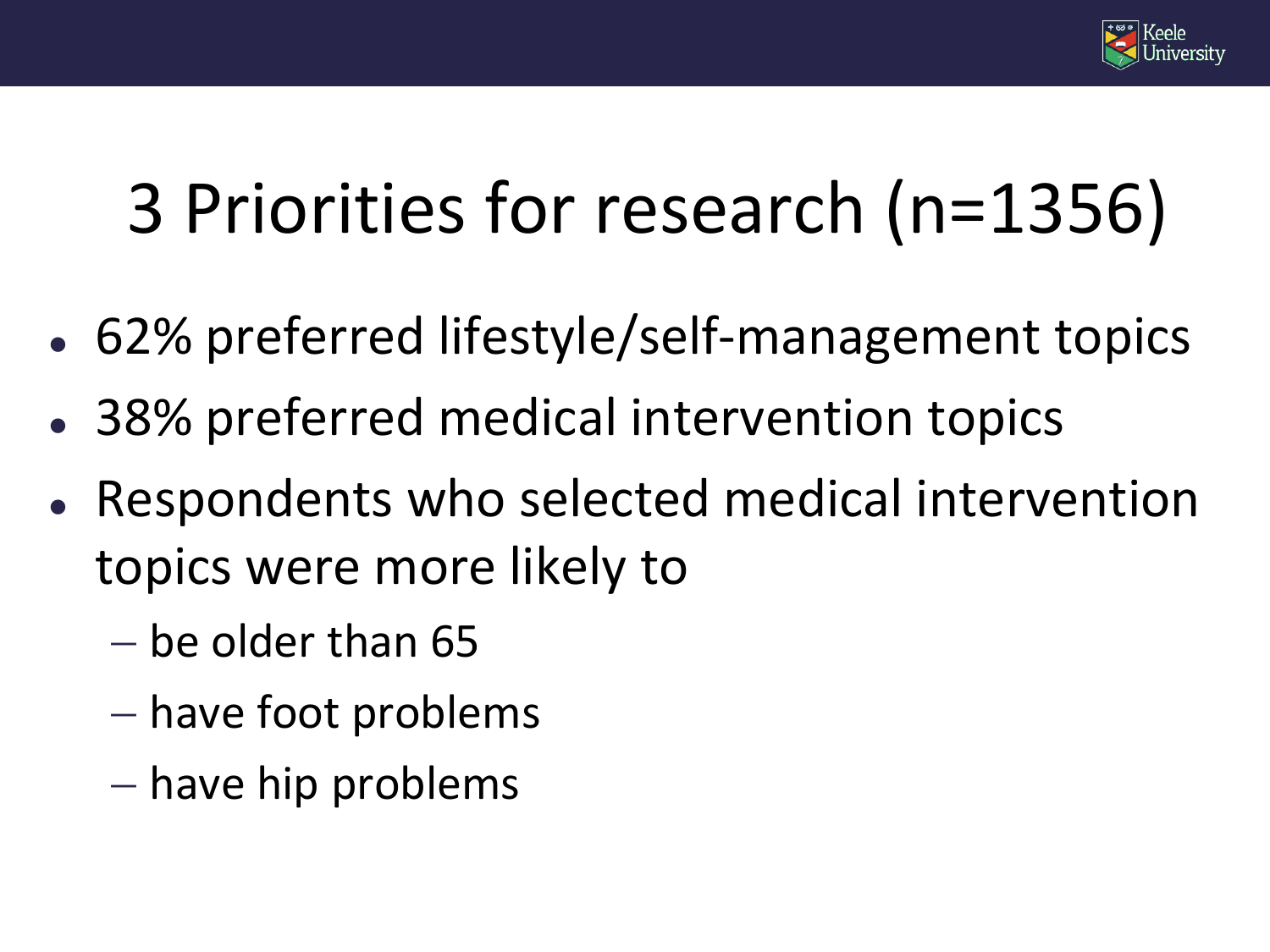

# 3 Priorities for research (n=1356)

- 62% preferred lifestyle/self-management topics
- 38% preferred medical intervention topics
- Respondents who selected medical intervention topics were more likely to
	- $-$  be older than 65
	- have foot problems
	- $-$  have hip problems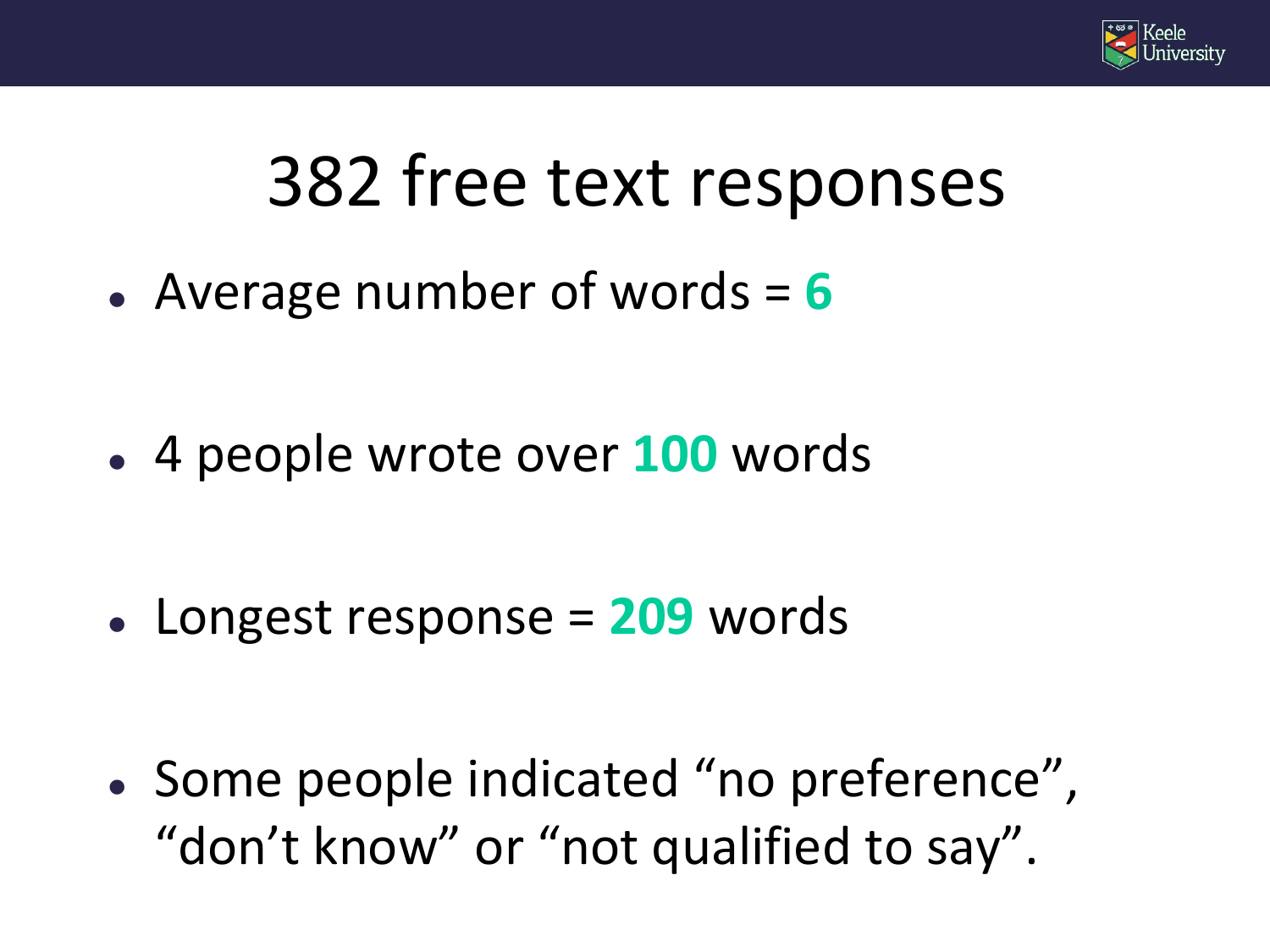

#### 382 free text responses

Average number of words = **6**

4 people wrote over **100** words

Longest response = **209** words

• Some people indicated "no preference", "don't know" or "not qualified to say".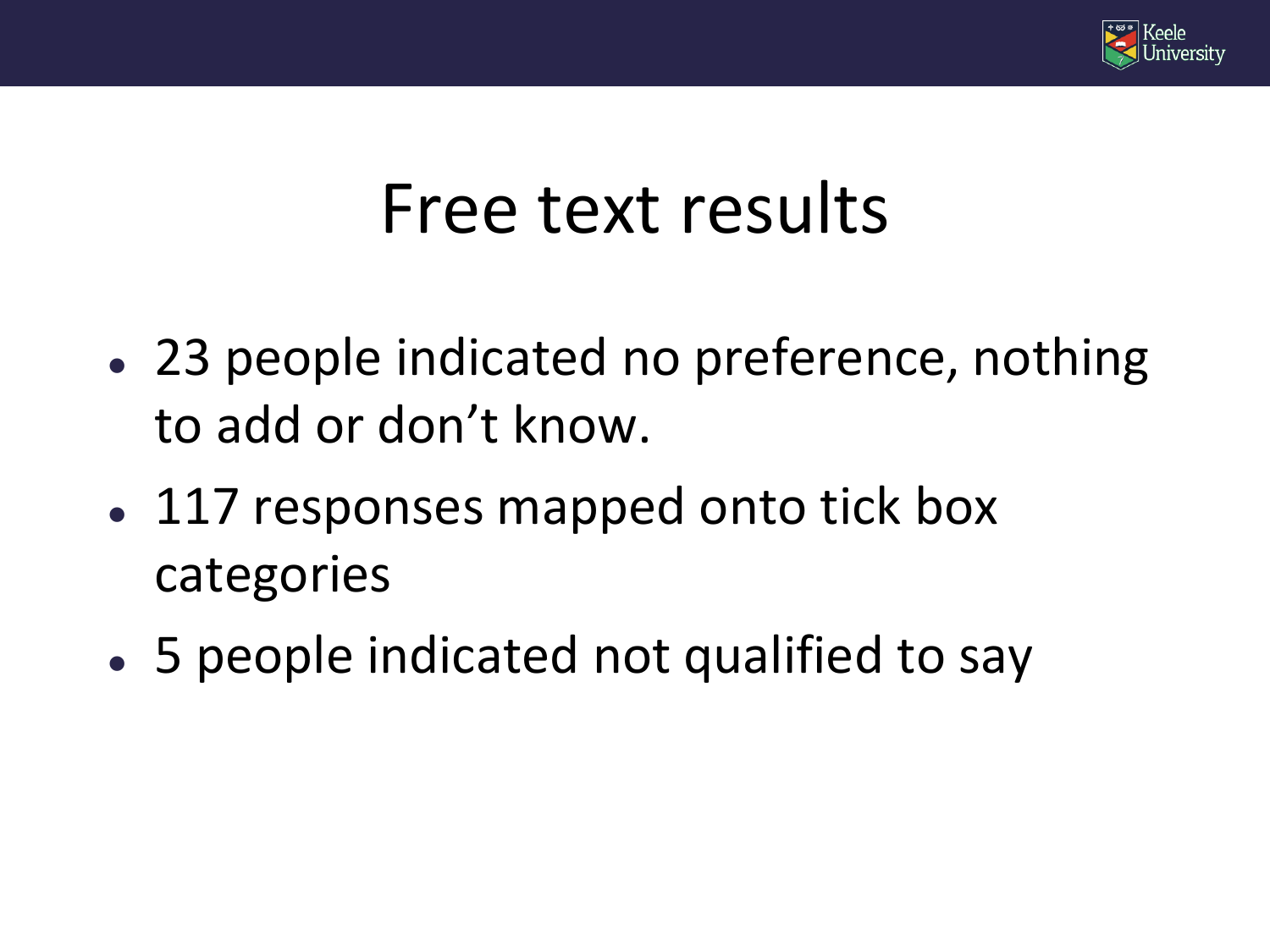

#### Free text results

- 23 people indicated no preference, nothing to add or don't know.
- 117 responses mapped onto tick box categories
- 5 people indicated not qualified to say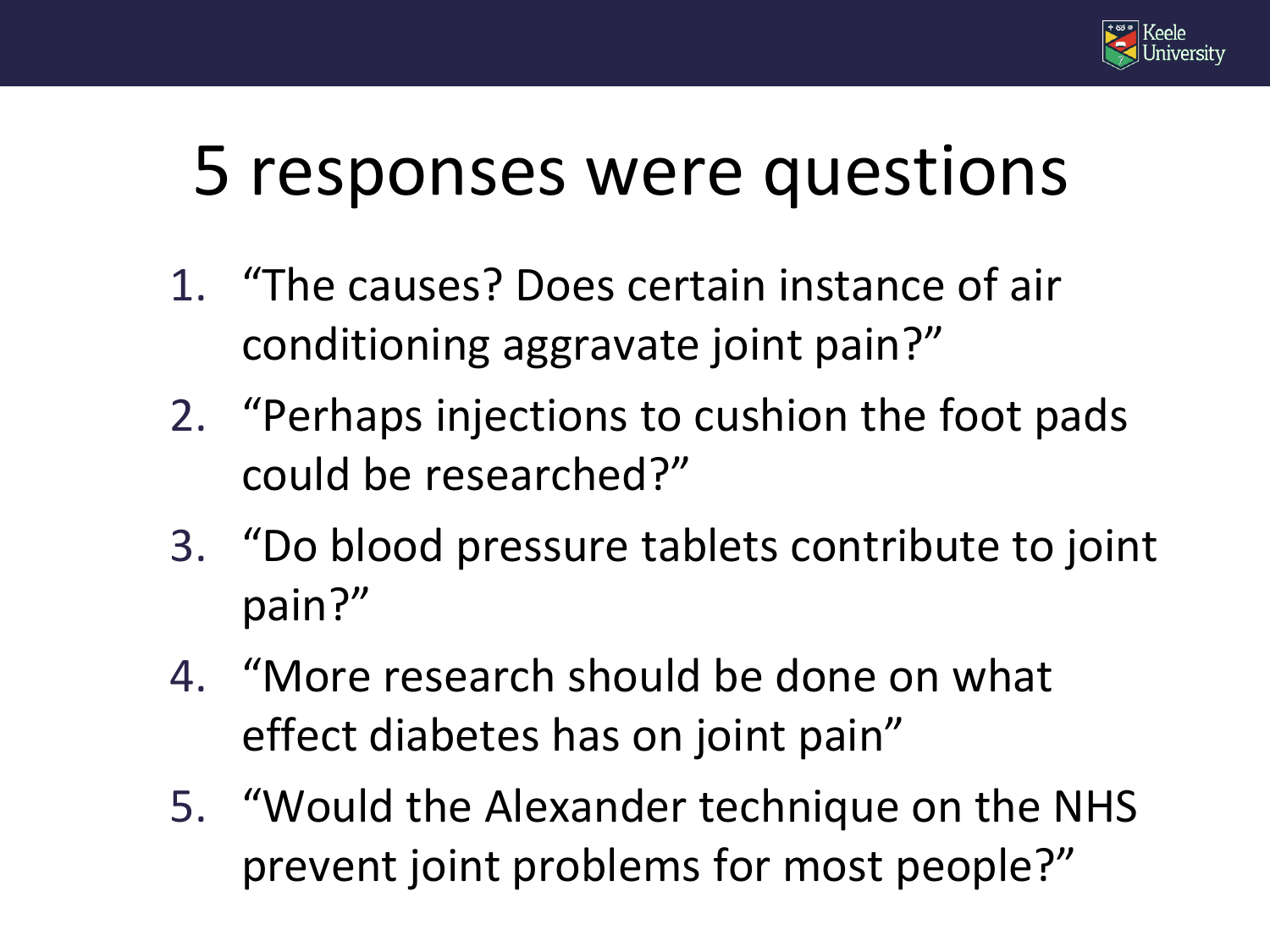

#### 5 responses were questions

- 1. "The causes? Does certain instance of air conditioning aggravate joint pain?"
- 2. "Perhaps injections to cushion the foot pads could be researched?"
- 3. "Do blood pressure tablets contribute to joint pain?"
- 4. "More research should be done on what effect diabetes has on joint pain"
- 5. "Would the Alexander technique on the NHS prevent joint problems for most people?"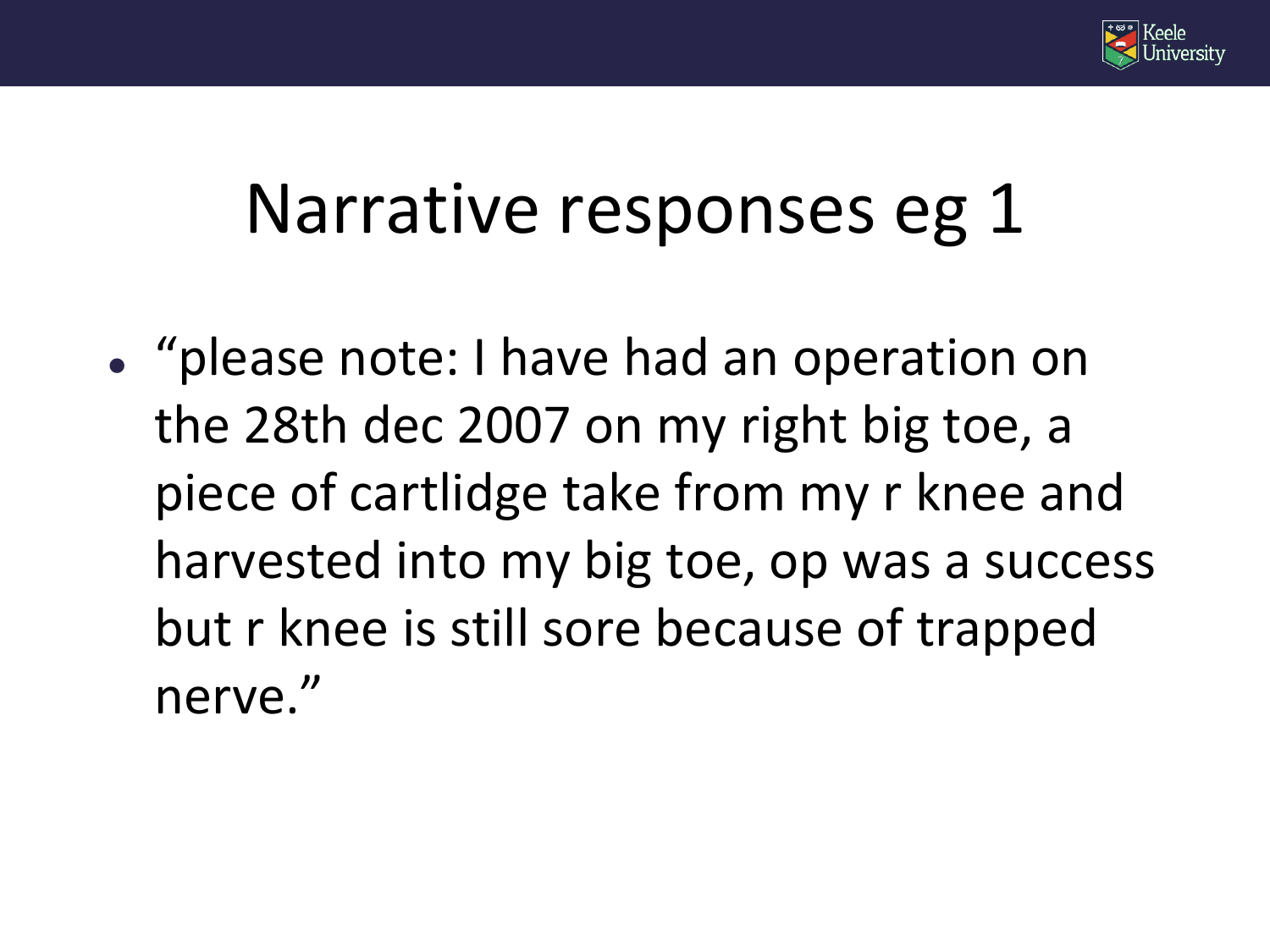

#### Narrative responses eg 1

 "please note: I have had an operation on the 28th dec 2007 on my right big toe, a piece of cartlidge take from my r knee and harvested into my big toe, op was a success but r knee is still sore because of trapped nerve."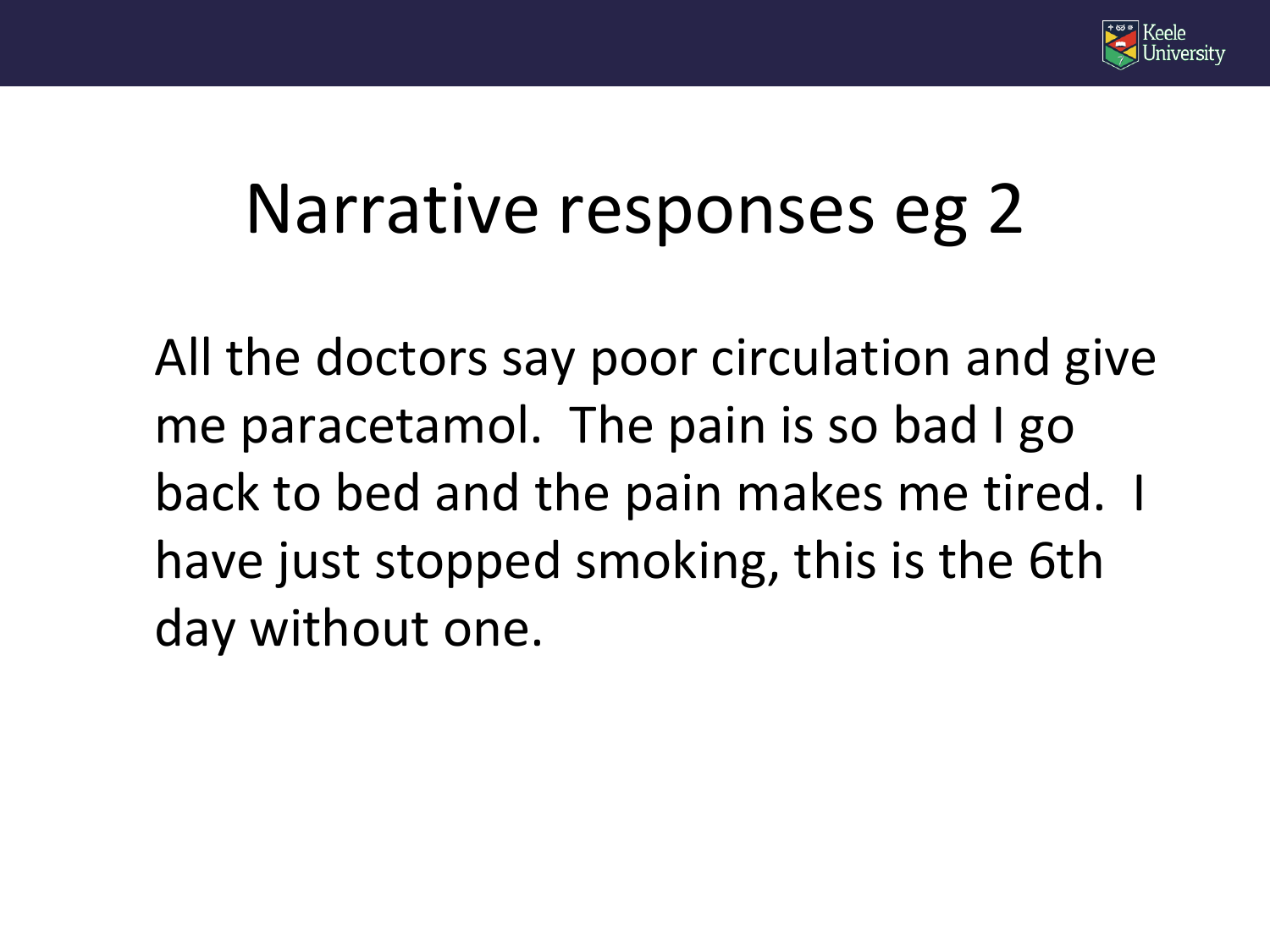

#### Narrative responses eg 2

All the doctors say poor circulation and give me paracetamol. The pain is so bad I go back to bed and the pain makes me tired. I have just stopped smoking, this is the 6th day without one.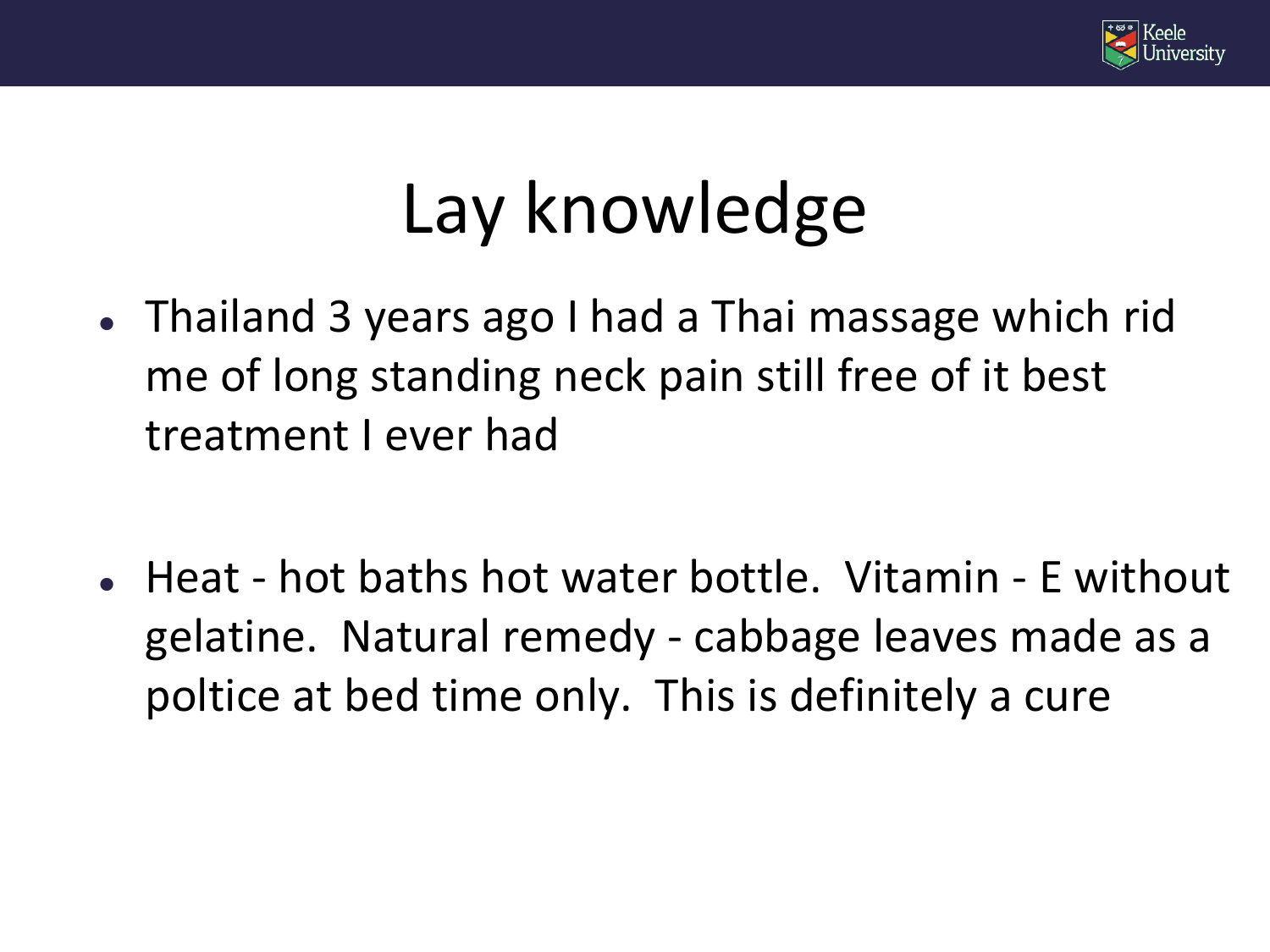

### Lay knowledge

- Thailand 3 years ago I had a Thai massage which rid me of long standing neck pain still free of it best treatment I ever had
- Heat hot baths hot water bottle. Vitamin E without gelatine. Natural remedy - cabbage leaves made as a poltice at bed time only. This is definitely a cure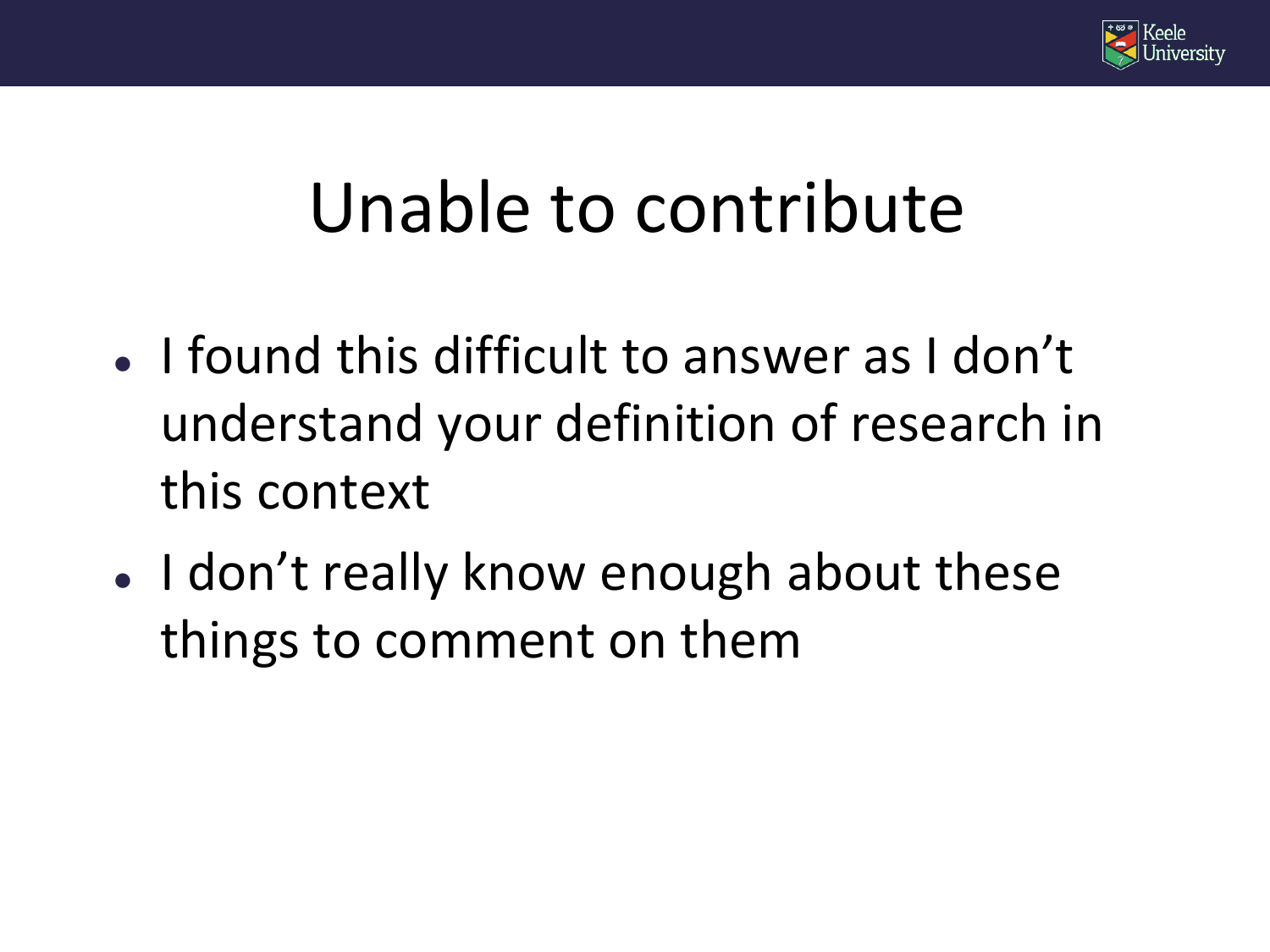

#### Unable to contribute

- I found this difficult to answer as I don't understand your definition of research in this context
- I don't really know enough about these things to comment on them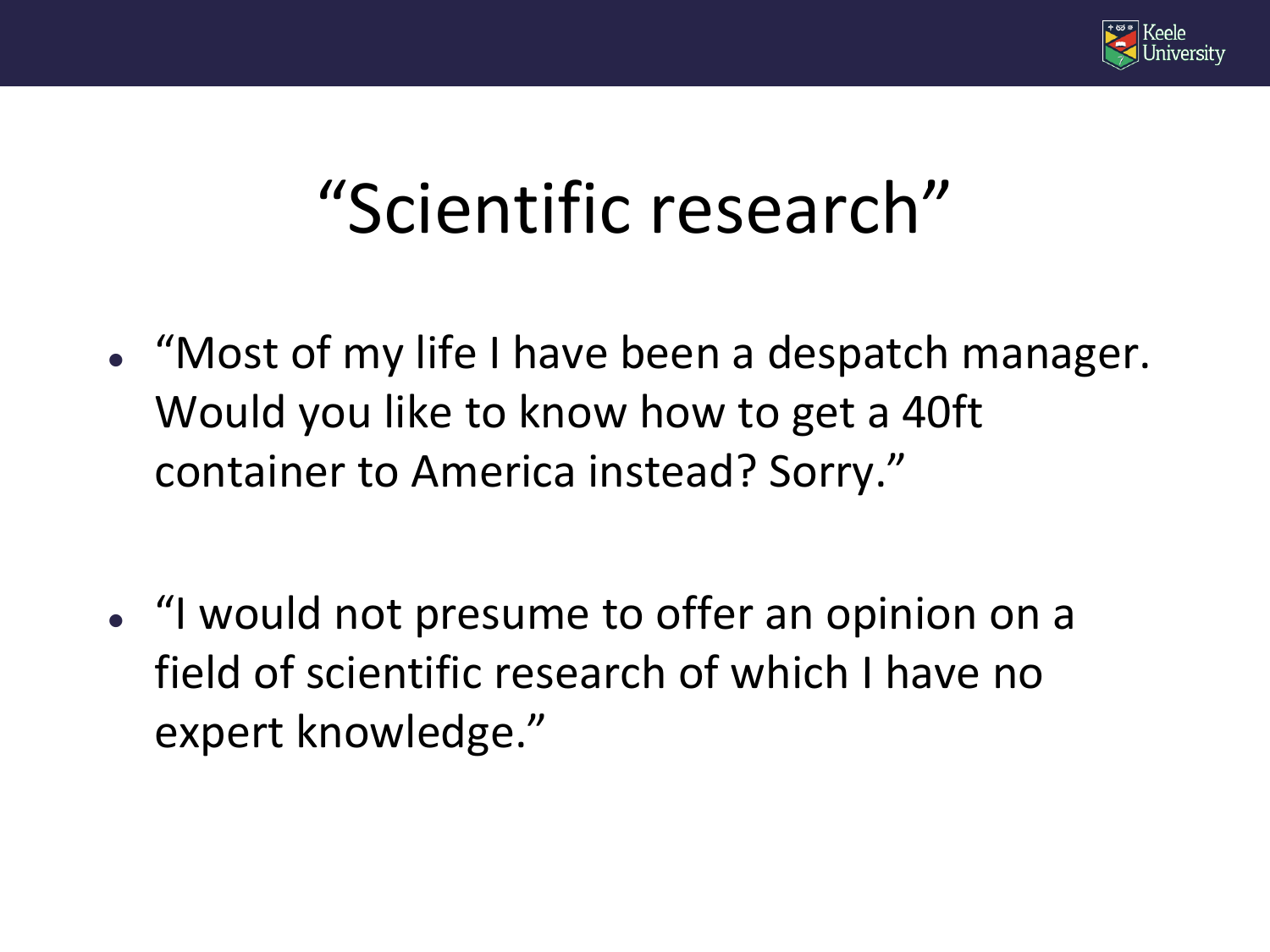

#### "Scientific research"

- "Most of my life I have been a despatch manager. Would you like to know how to get a 40ft container to America instead? Sorry."
- "I would not presume to offer an opinion on a field of scientific research of which I have no expert knowledge."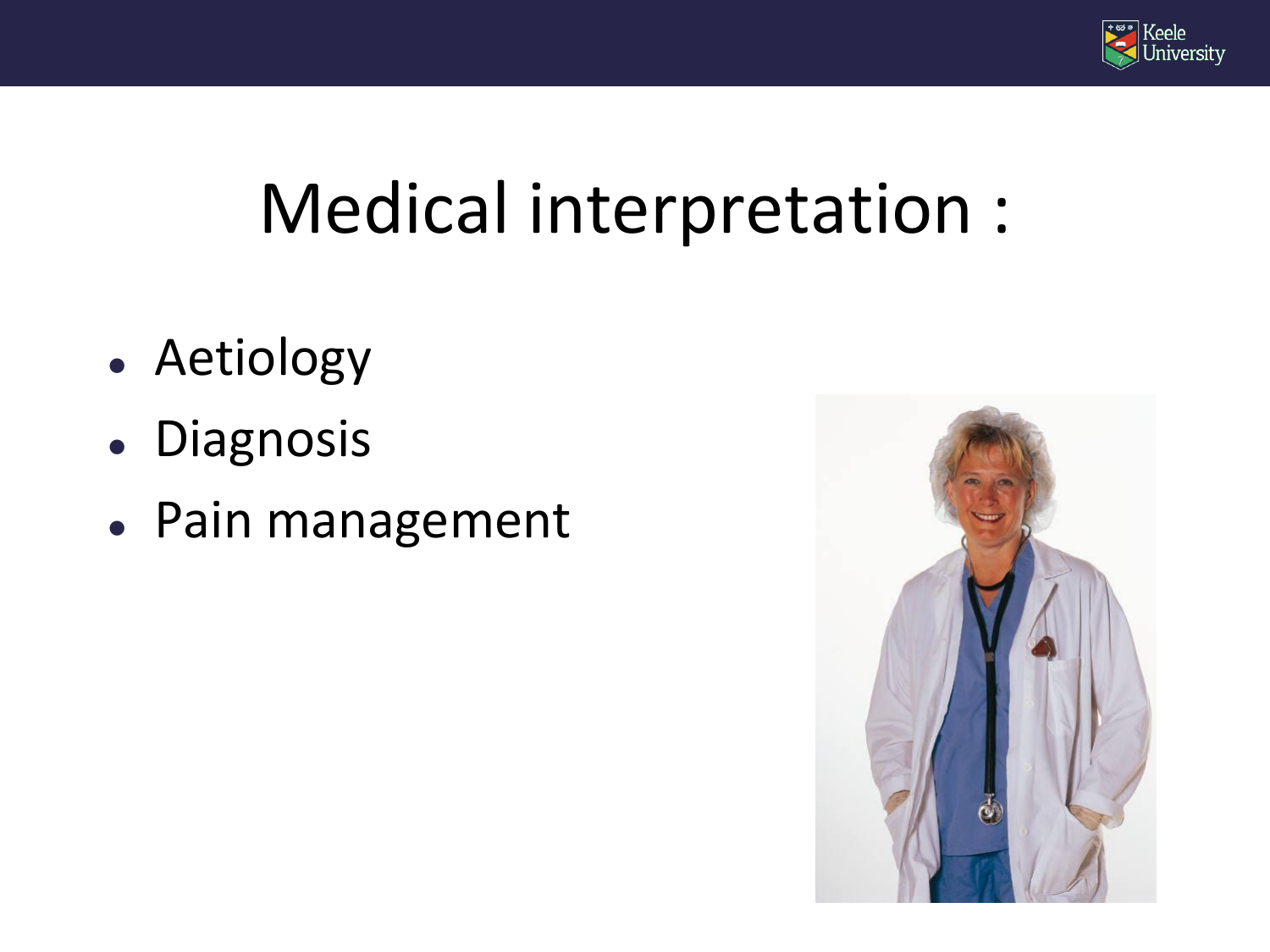

#### Medical interpretation :

- Aetiology
- Diagnosis
- Pain management

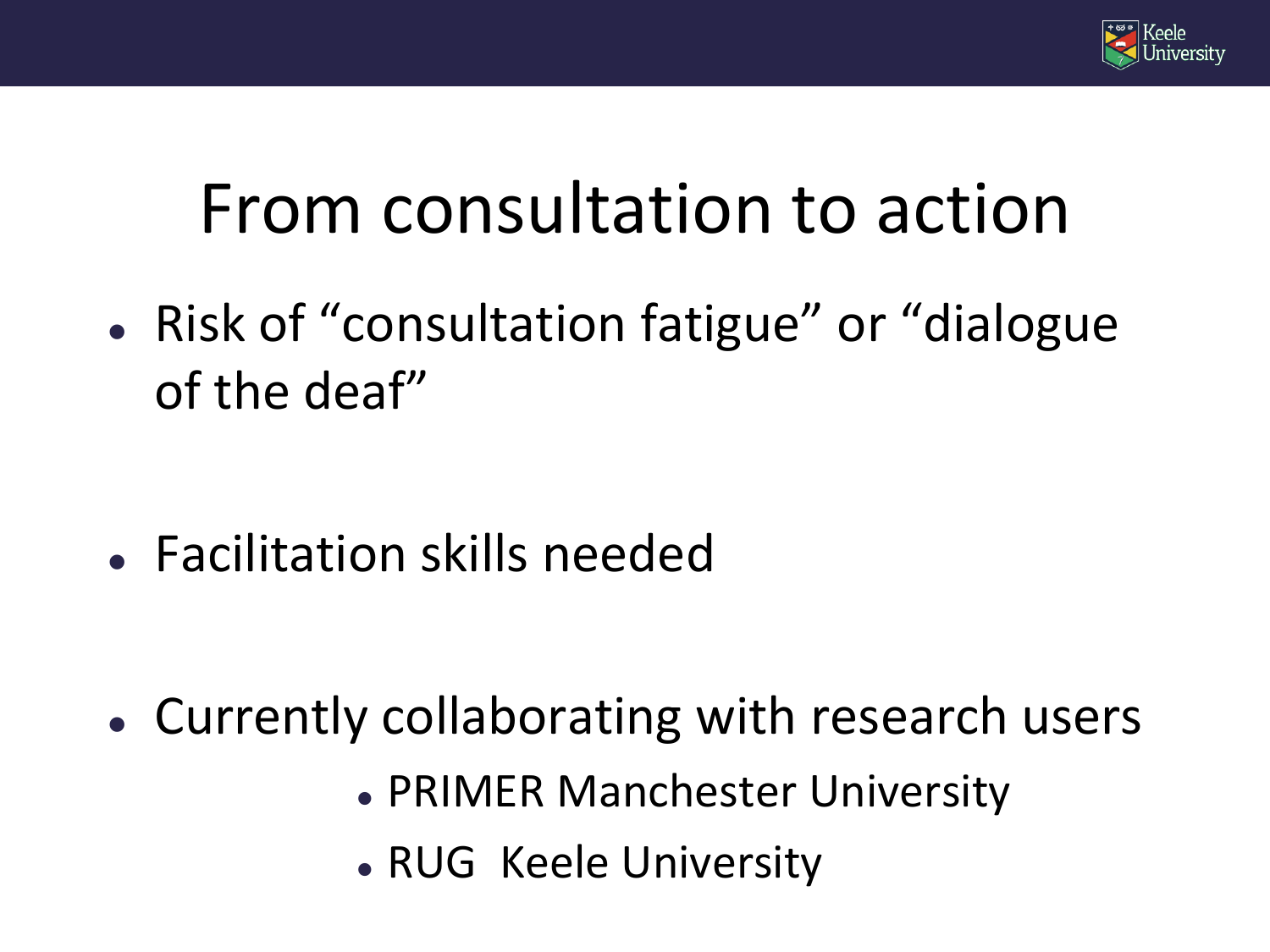

#### From consultation to action

• Risk of "consultation fatigue" or "dialogue of the deaf"

Facilitation skills needed

- Currently collaborating with research users
	- PRIMER Manchester University
	- RUG Keele University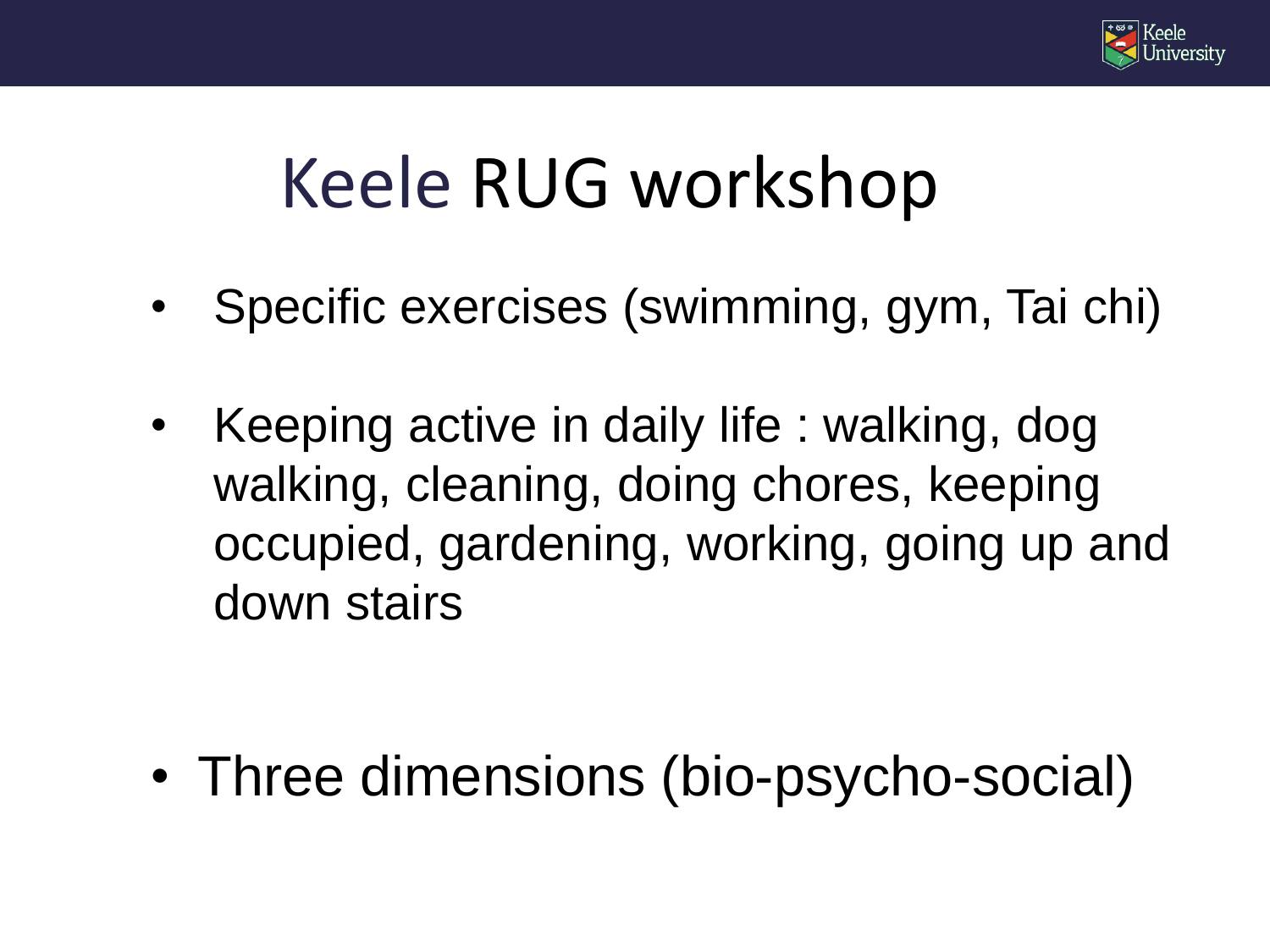

#### Keele RUG workshop

- Specific exercises (swimming, gym, Tai chi)
- Keeping active in daily life : walking, dog walking, cleaning, doing chores, keeping occupied, gardening, working, going up and down stairs

• Three dimensions (bio-psycho-social)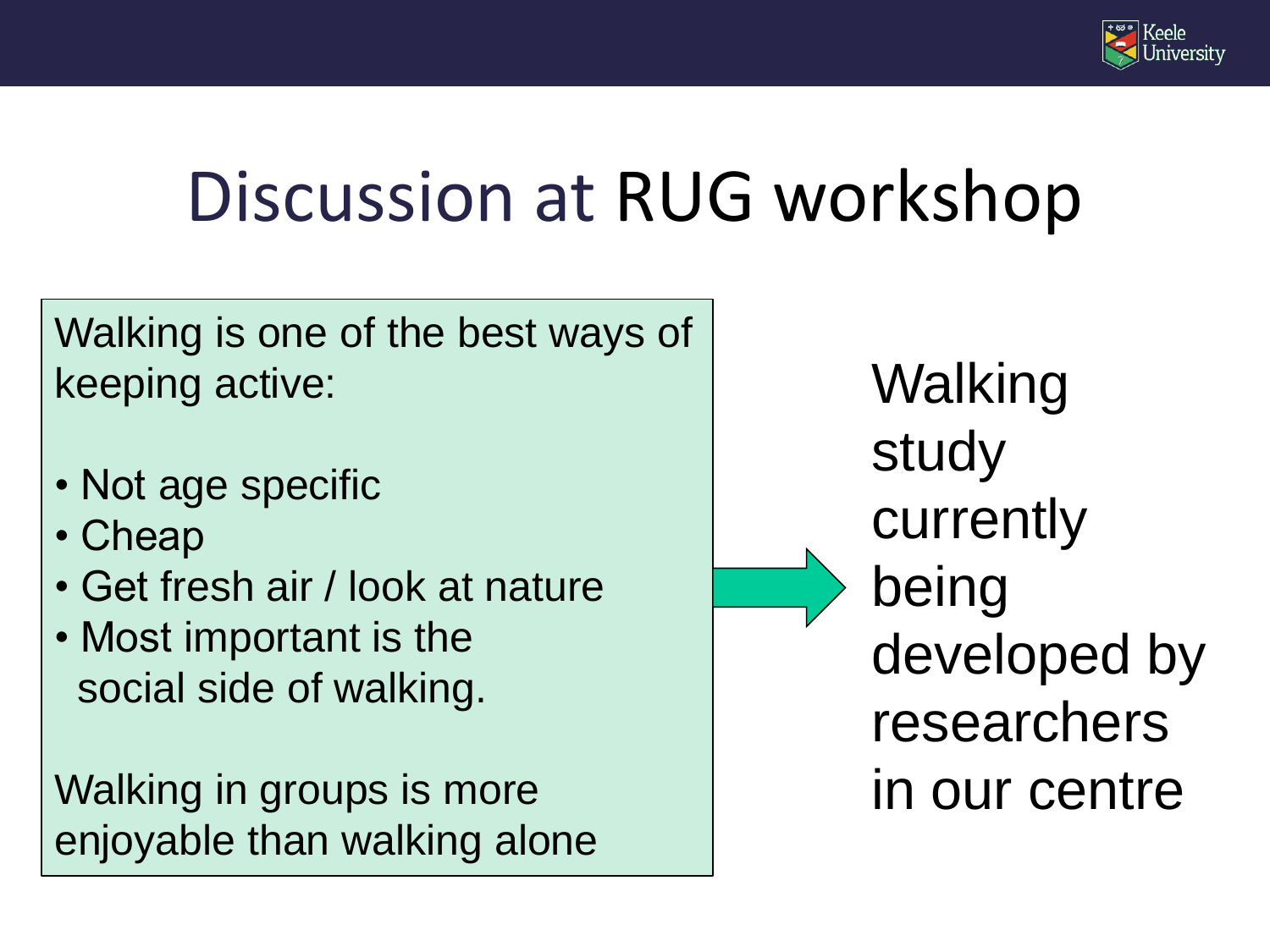

### Discussion at RUG workshop

Walking is one of the best ways of keeping active:

- Not age specific
- Cheap
- Get fresh air / look at nature
- Most important is the social side of walking.

Walking in groups is more enjoyable than walking alone Walking study currently being developed by researchers in our centre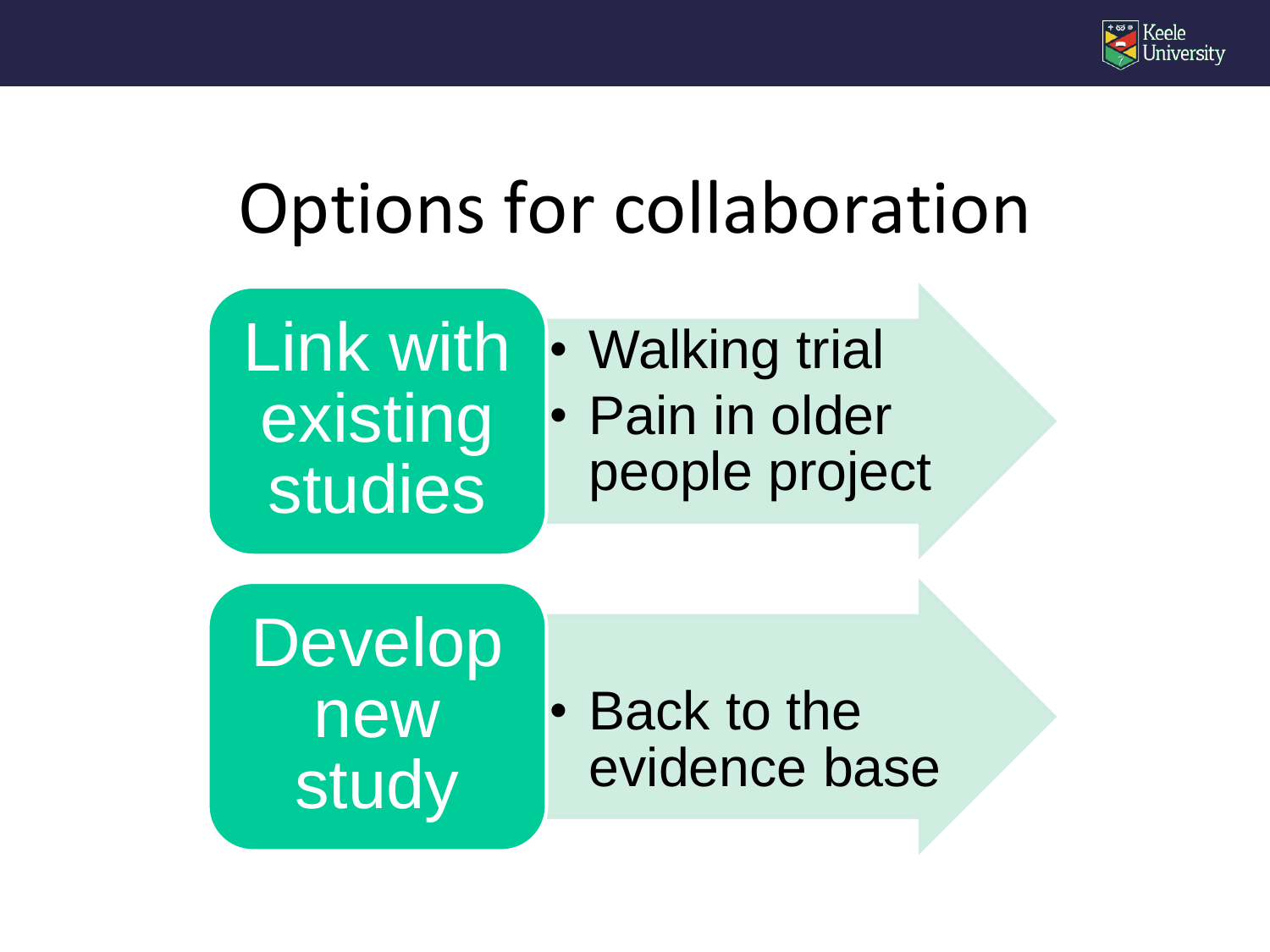

#### Options for collaboration



• Walking trial • Pain in older people project

Develop new study

• Back to the evidence base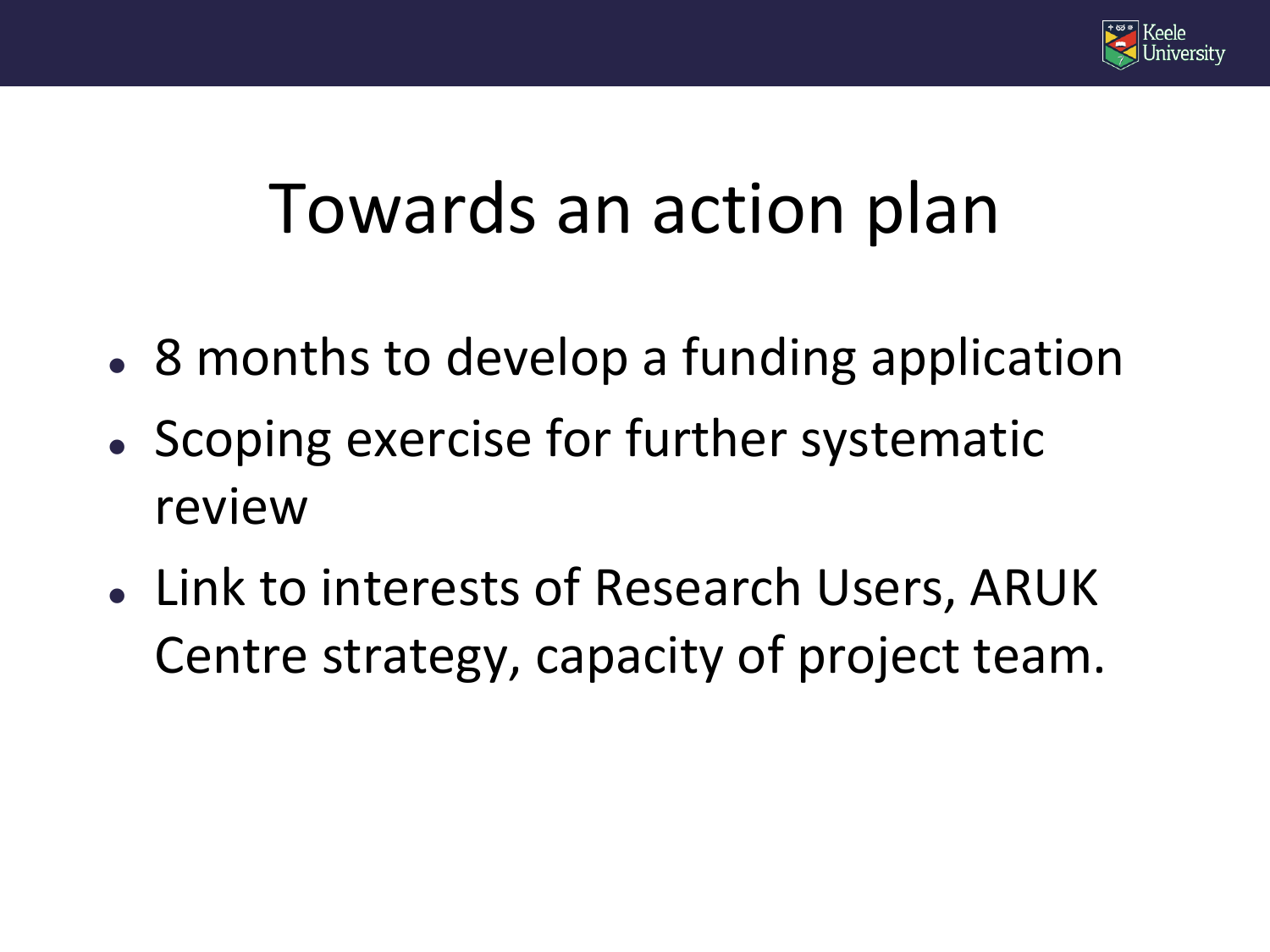

#### Towards an action plan

- 8 months to develop a funding application
- Scoping exercise for further systematic review
- Link to interests of Research Users, ARUK Centre strategy, capacity of project team.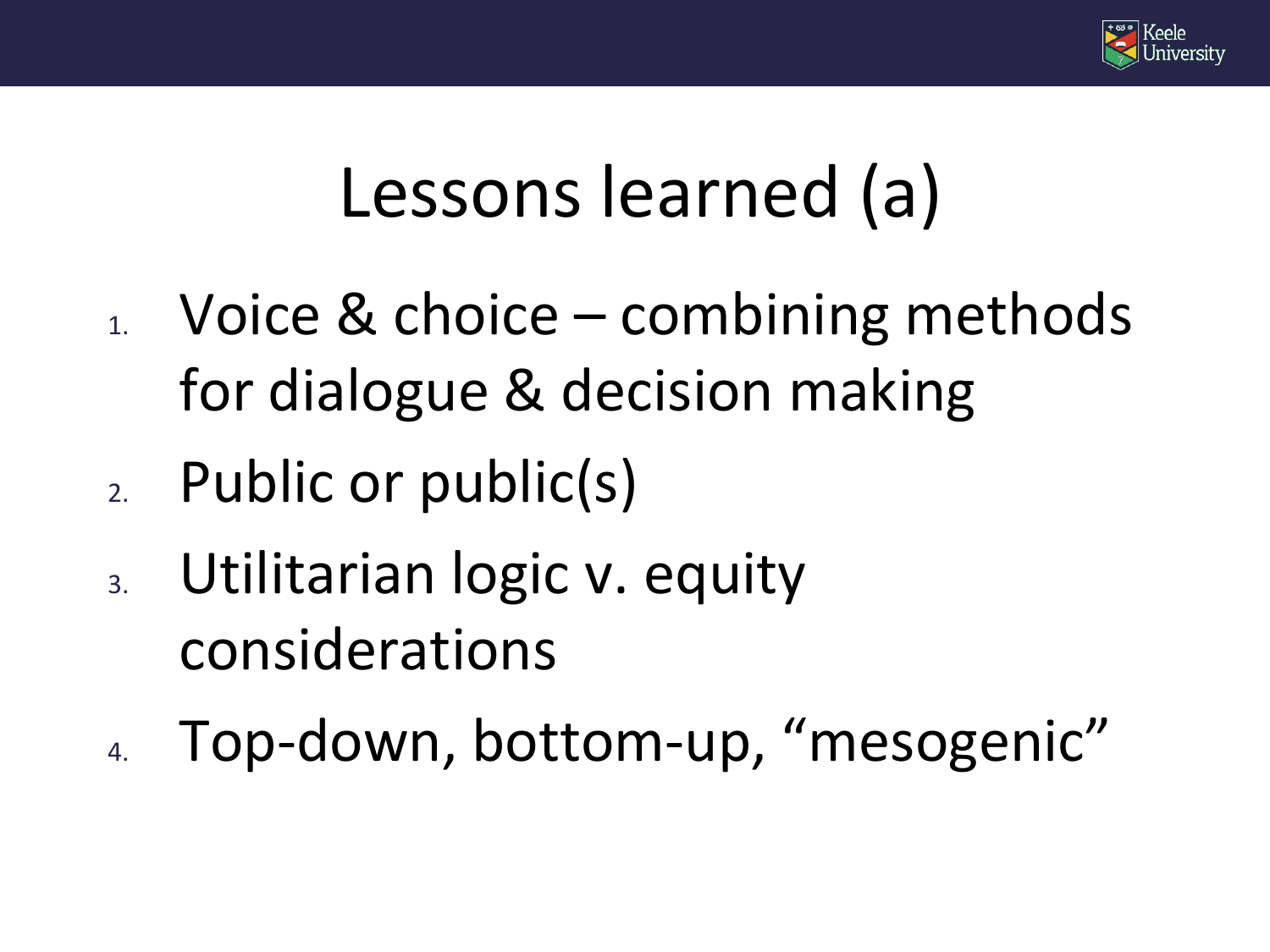

#### Lessons learned (a)

- $_{1.}$  Voice & choice combining methods for dialogue & decision making
- 2. Public or public(s)
- 3. Utilitarian logic v. equity considerations
- 4. Top-down, bottom-up, "mesogenic"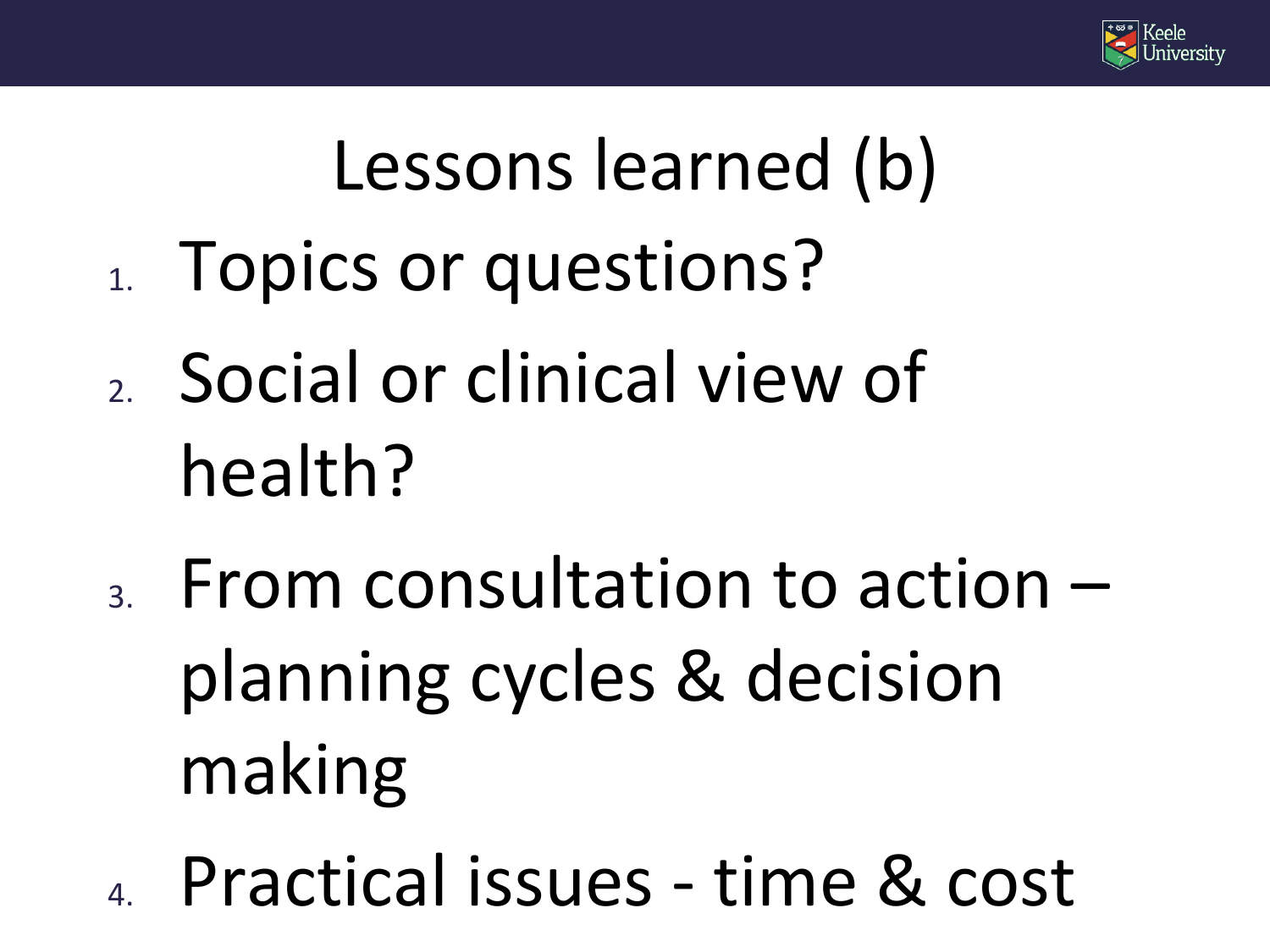

# Lessons learned (b)

- 1. Topics or questions?
- 2. Social or clinical view of health?
- $_3.$  From consultation to action  $$ planning cycles & decision making
- 4. Practical issues time & cost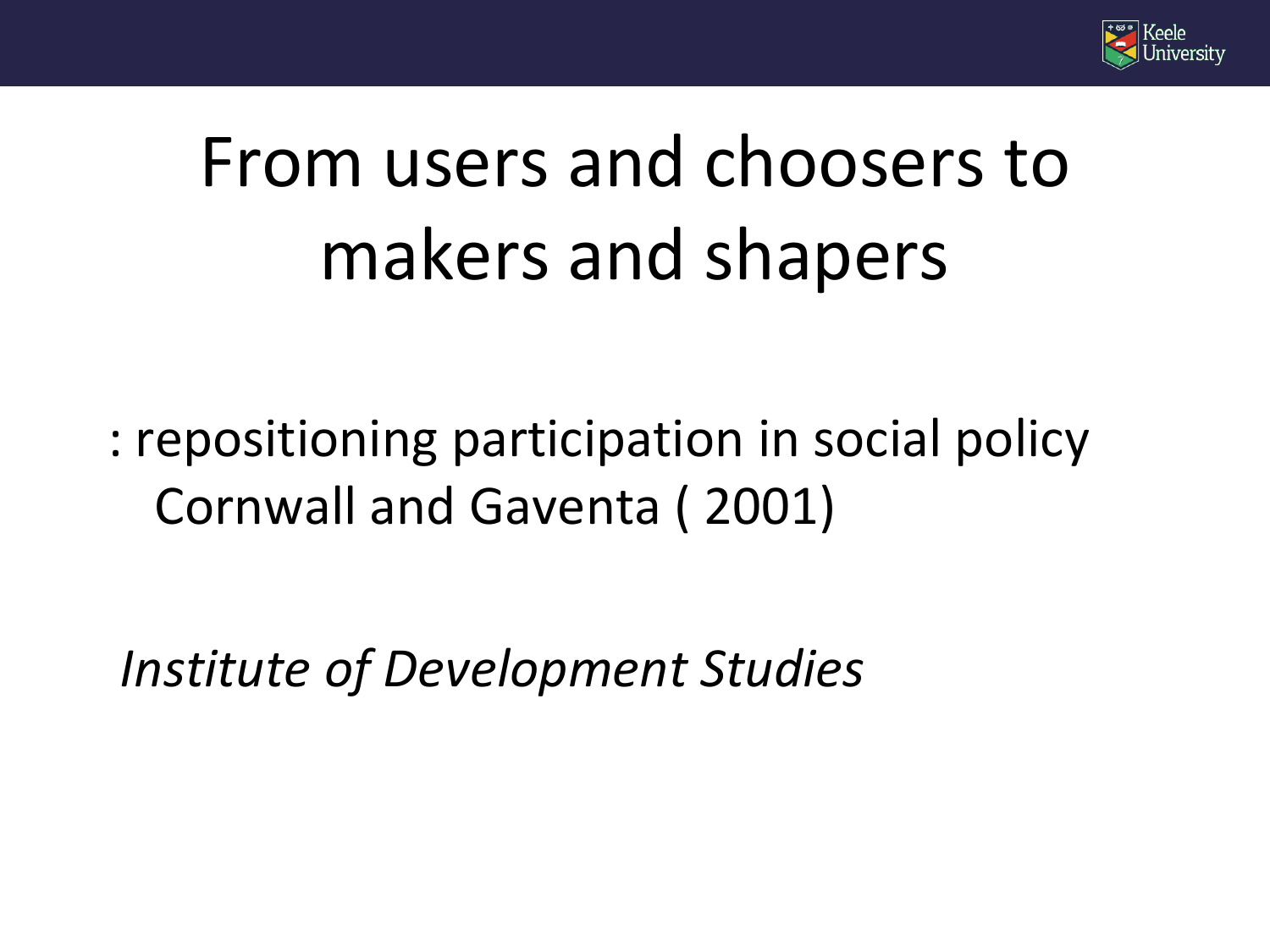

# From users and choosers to makers and shapers

: repositioning participation in social policy Cornwall and Gaventa ( 2001)

*Institute of Development Studies*